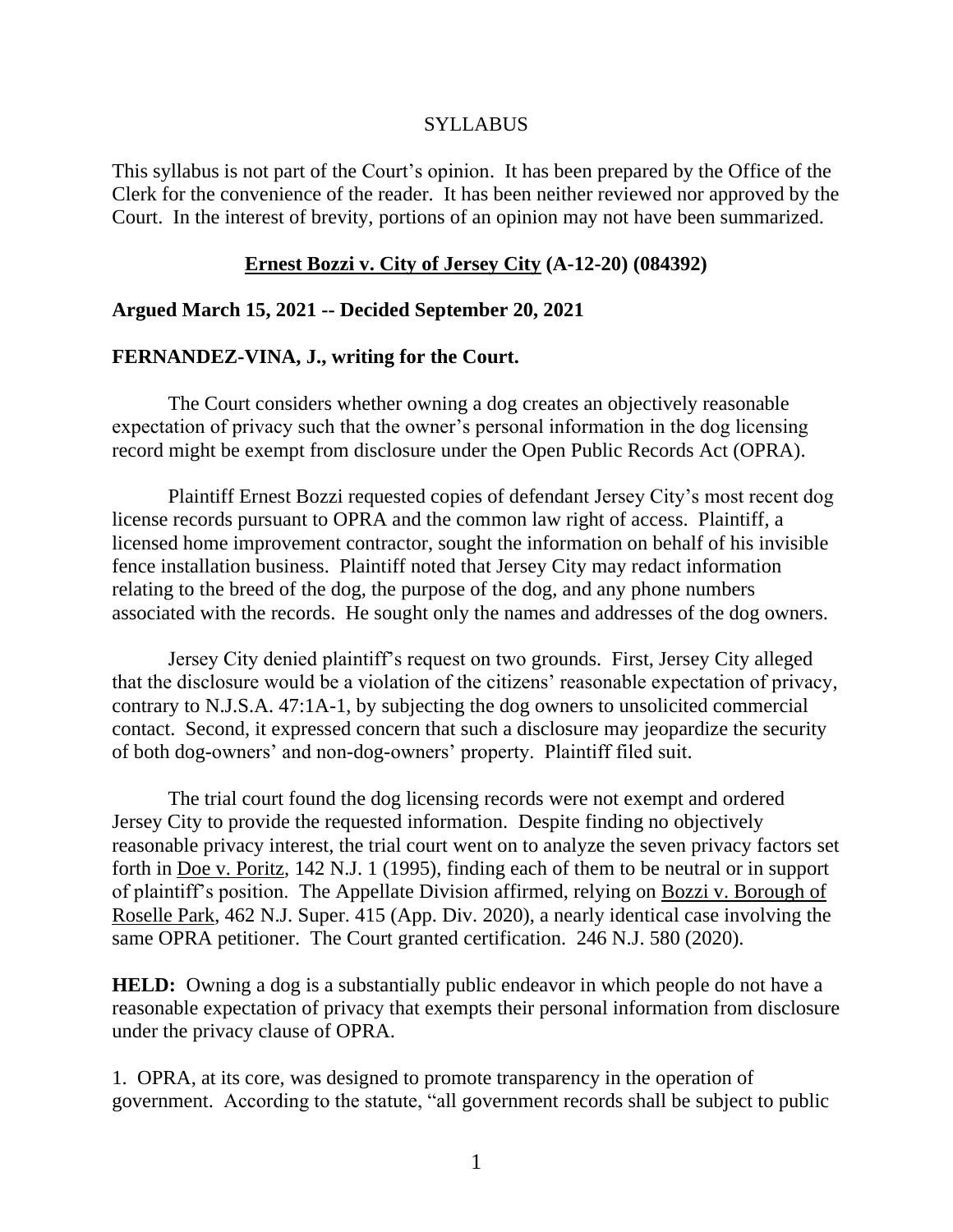# SYLLABUS

This syllabus is not part of the Court's opinion. It has been prepared by the Office of the Clerk for the convenience of the reader. It has been neither reviewed nor approved by the Court. In the interest of brevity, portions of an opinion may not have been summarized.

## **Ernest Bozzi v. City of Jersey City (A-12-20) (084392)**

# **Argued March 15, 2021 -- Decided September 20, 2021**

# **FERNANDEZ-VINA, J., writing for the Court.**

The Court considers whether owning a dog creates an objectively reasonable expectation of privacy such that the owner's personal information in the dog licensing record might be exempt from disclosure under the Open Public Records Act (OPRA).

Plaintiff Ernest Bozzi requested copies of defendant Jersey City's most recent dog license records pursuant to OPRA and the common law right of access. Plaintiff, a licensed home improvement contractor, sought the information on behalf of his invisible fence installation business. Plaintiff noted that Jersey City may redact information relating to the breed of the dog, the purpose of the dog, and any phone numbers associated with the records. He sought only the names and addresses of the dog owners.

Jersey City denied plaintiff's request on two grounds. First, Jersey City alleged that the disclosure would be a violation of the citizens' reasonable expectation of privacy, contrary to N.J.S.A. 47:1A-1, by subjecting the dog owners to unsolicited commercial contact. Second, it expressed concern that such a disclosure may jeopardize the security of both dog-owners' and non-dog-owners' property. Plaintiff filed suit.

The trial court found the dog licensing records were not exempt and ordered Jersey City to provide the requested information. Despite finding no objectively reasonable privacy interest, the trial court went on to analyze the seven privacy factors set forth in Doe v. Poritz, 142 N.J. 1 (1995), finding each of them to be neutral or in support of plaintiff's position. The Appellate Division affirmed, relying on Bozzi v. Borough of Roselle Park, 462 N.J. Super. 415 (App. Div. 2020), a nearly identical case involving the same OPRA petitioner. The Court granted certification. 246 N.J. 580 (2020).

**HELD:** Owning a dog is a substantially public endeavor in which people do not have a reasonable expectation of privacy that exempts their personal information from disclosure under the privacy clause of OPRA.

1. OPRA, at its core, was designed to promote transparency in the operation of government. According to the statute, "all government records shall be subject to public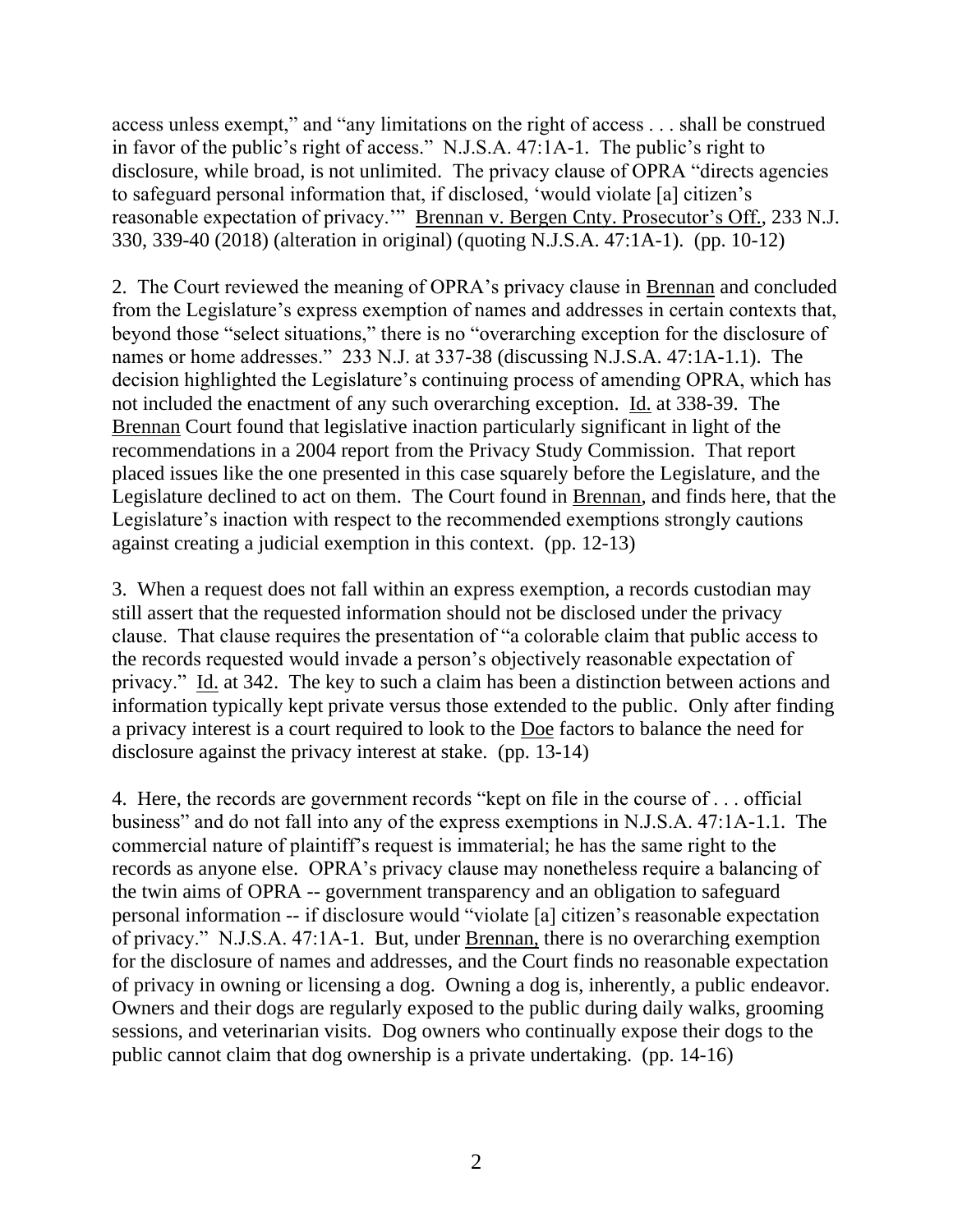access unless exempt," and "any limitations on the right of access . . . shall be construed in favor of the public's right of access." N.J.S.A. 47:1A-1. The public's right to disclosure, while broad, is not unlimited. The privacy clause of OPRA "directs agencies to safeguard personal information that, if disclosed, 'would violate [a] citizen's reasonable expectation of privacy.'" Brennan v. Bergen Cnty. Prosecutor's Off., 233 N.J. 330, 339-40 (2018) (alteration in original) (quoting N.J.S.A. 47:1A-1). (pp. 10-12)

2. The Court reviewed the meaning of OPRA's privacy clause in Brennan and concluded from the Legislature's express exemption of names and addresses in certain contexts that, beyond those "select situations," there is no "overarching exception for the disclosure of names or home addresses." 233 N.J. at 337-38 (discussing N.J.S.A. 47:1A-1.1). The decision highlighted the Legislature's continuing process of amending OPRA, which has not included the enactment of any such overarching exception. Id. at 338-39. The Brennan Court found that legislative inaction particularly significant in light of the recommendations in a 2004 report from the Privacy Study Commission. That report placed issues like the one presented in this case squarely before the Legislature, and the Legislature declined to act on them. The Court found in Brennan, and finds here, that the Legislature's inaction with respect to the recommended exemptions strongly cautions against creating a judicial exemption in this context. (pp. 12-13)

3. When a request does not fall within an express exemption, a records custodian may still assert that the requested information should not be disclosed under the privacy clause. That clause requires the presentation of "a colorable claim that public access to the records requested would invade a person's objectively reasonable expectation of privacy." Id. at 342. The key to such a claim has been a distinction between actions and information typically kept private versus those extended to the public. Only after finding a privacy interest is a court required to look to the Doe factors to balance the need for disclosure against the privacy interest at stake. (pp. 13-14)

4. Here, the records are government records "kept on file in the course of . . . official business" and do not fall into any of the express exemptions in N.J.S.A. 47:1A-1.1. The commercial nature of plaintiff's request is immaterial; he has the same right to the records as anyone else. OPRA's privacy clause may nonetheless require a balancing of the twin aims of OPRA -- government transparency and an obligation to safeguard personal information -- if disclosure would "violate [a] citizen's reasonable expectation of privacy." N.J.S.A. 47:1A-1. But, under Brennan, there is no overarching exemption for the disclosure of names and addresses, and the Court finds no reasonable expectation of privacy in owning or licensing a dog. Owning a dog is, inherently, a public endeavor. Owners and their dogs are regularly exposed to the public during daily walks, grooming sessions, and veterinarian visits. Dog owners who continually expose their dogs to the public cannot claim that dog ownership is a private undertaking. (pp. 14-16)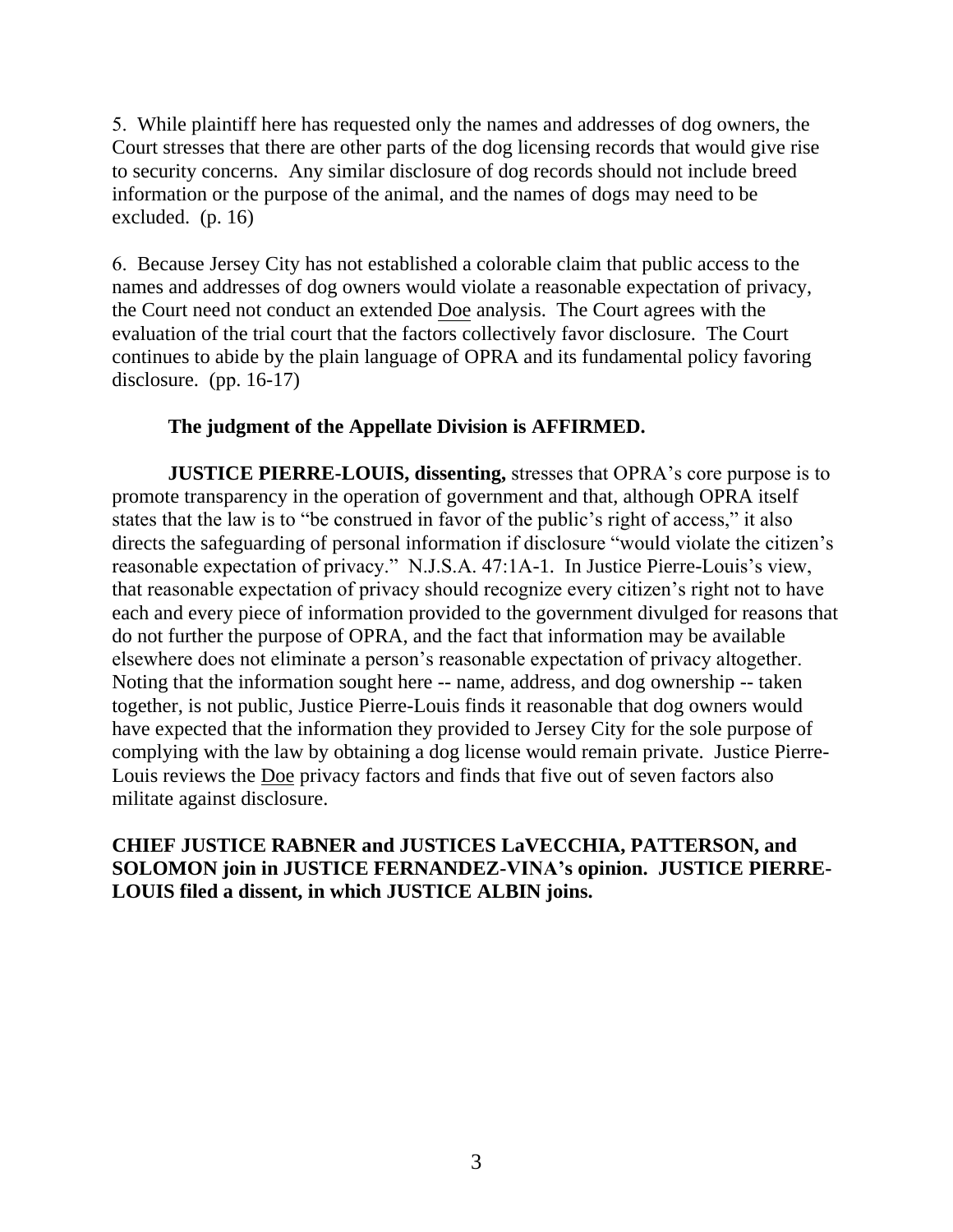5. While plaintiff here has requested only the names and addresses of dog owners, the Court stresses that there are other parts of the dog licensing records that would give rise to security concerns. Any similar disclosure of dog records should not include breed information or the purpose of the animal, and the names of dogs may need to be excluded. (p. 16)

6. Because Jersey City has not established a colorable claim that public access to the names and addresses of dog owners would violate a reasonable expectation of privacy, the Court need not conduct an extended Doe analysis. The Court agrees with the evaluation of the trial court that the factors collectively favor disclosure. The Court continues to abide by the plain language of OPRA and its fundamental policy favoring disclosure. (pp. 16-17)

# **The judgment of the Appellate Division is AFFIRMED.**

**JUSTICE PIERRE-LOUIS, dissenting, stresses that OPRA's core purpose is to** promote transparency in the operation of government and that, although OPRA itself states that the law is to "be construed in favor of the public's right of access," it also directs the safeguarding of personal information if disclosure "would violate the citizen's reasonable expectation of privacy." N.J.S.A. 47:1A-1. In Justice Pierre-Louis's view, that reasonable expectation of privacy should recognize every citizen's right not to have each and every piece of information provided to the government divulged for reasons that do not further the purpose of OPRA, and the fact that information may be available elsewhere does not eliminate a person's reasonable expectation of privacy altogether. Noting that the information sought here -- name, address, and dog ownership -- taken together, is not public, Justice Pierre-Louis finds it reasonable that dog owners would have expected that the information they provided to Jersey City for the sole purpose of complying with the law by obtaining a dog license would remain private. Justice Pierre-Louis reviews the Doe privacy factors and finds that five out of seven factors also militate against disclosure.

**CHIEF JUSTICE RABNER and JUSTICES LaVECCHIA, PATTERSON, and SOLOMON join in JUSTICE FERNANDEZ-VINA's opinion. JUSTICE PIERRE-LOUIS filed a dissent, in which JUSTICE ALBIN joins.**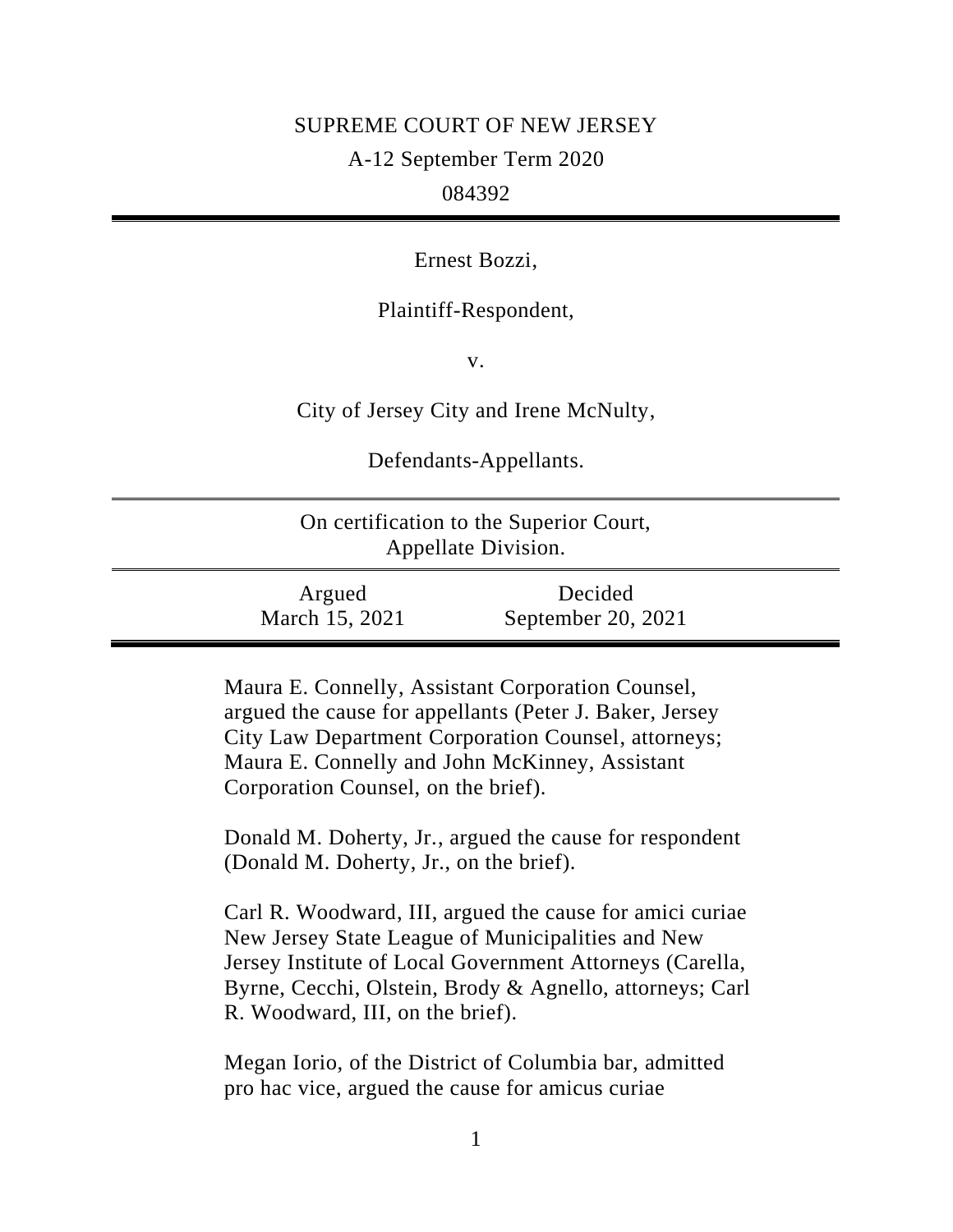# SUPREME COURT OF NEW JERSEY

A-12 September Term 2020

084392

Ernest Bozzi,

Plaintiff-Respondent,

v.

City of Jersey City and Irene McNulty,

Defendants-Appellants.

| On certification to the Superior Court,<br>Appellate Division. |                               |  |
|----------------------------------------------------------------|-------------------------------|--|
| Argued<br>March 15, 2021                                       | Decided<br>September 20, 2021 |  |

Maura E. Connelly, Assistant Corporation Counsel, argued the cause for appellants (Peter J. Baker, Jersey City Law Department Corporation Counsel, attorneys; Maura E. Connelly and John McKinney, Assistant Corporation Counsel, on the brief).

Donald M. Doherty, Jr., argued the cause for respondent (Donald M. Doherty, Jr., on the brief).

Carl R. Woodward, III, argued the cause for amici curiae New Jersey State League of Municipalities and New Jersey Institute of Local Government Attorneys (Carella, Byrne, Cecchi, Olstein, Brody & Agnello, attorneys; Carl R. Woodward, III, on the brief).

Megan Iorio, of the District of Columbia bar, admitted pro hac vice, argued the cause for amicus curiae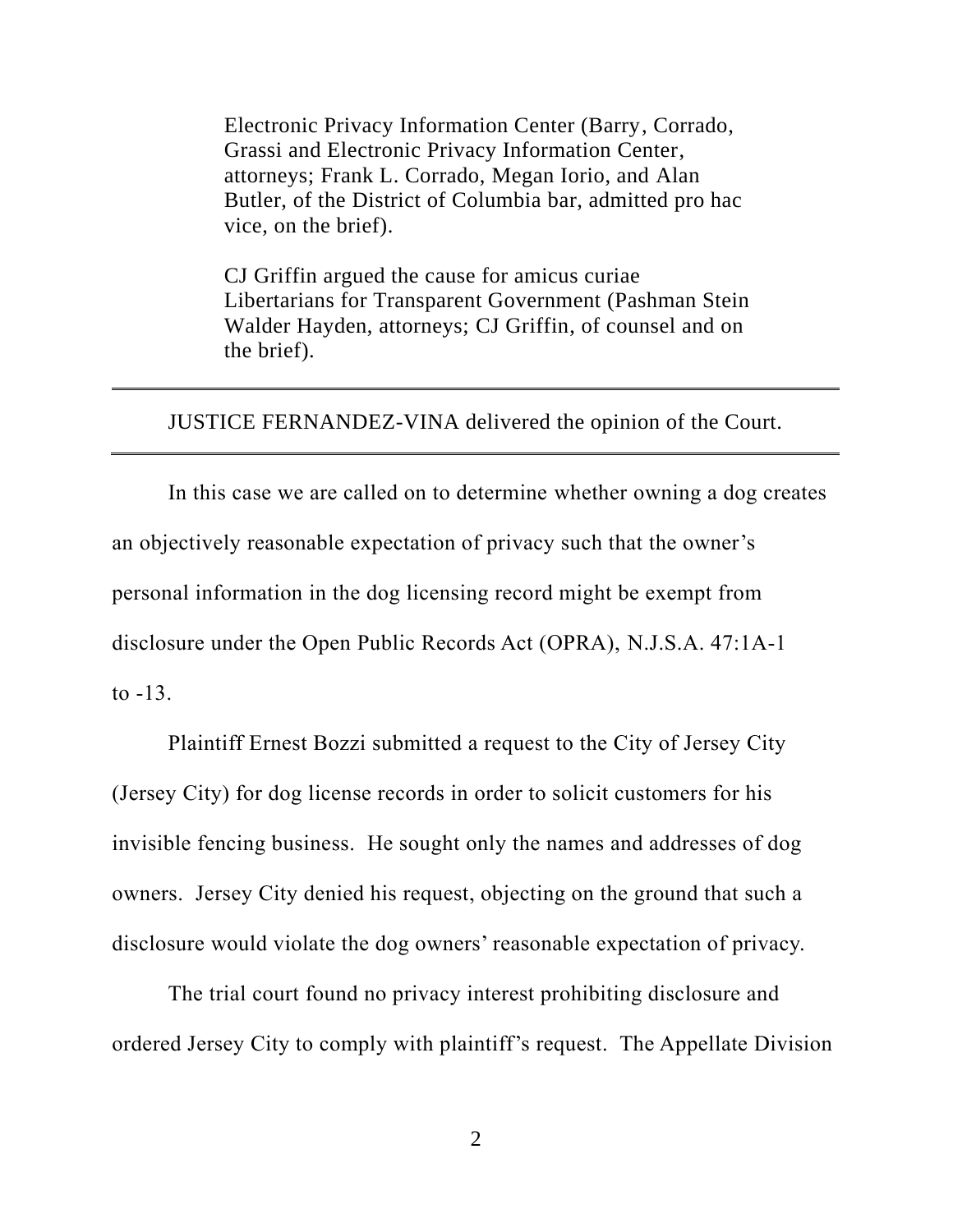Electronic Privacy Information Center (Barry, Corrado, Grassi and Electronic Privacy Information Center, attorneys; Frank L. Corrado, Megan Iorio, and Alan Butler, of the District of Columbia bar, admitted pro hac vice, on the brief).

CJ Griffin argued the cause for amicus curiae Libertarians for Transparent Government (Pashman Stein Walder Hayden, attorneys; CJ Griffin, of counsel and on the brief).

JUSTICE FERNANDEZ-VINA delivered the opinion of the Court.

In this case we are called on to determine whether owning a dog creates an objectively reasonable expectation of privacy such that the owner's personal information in the dog licensing record might be exempt from disclosure under the Open Public Records Act (OPRA), N.J.S.A. 47:1A-1 to -13.

Plaintiff Ernest Bozzi submitted a request to the City of Jersey City (Jersey City) for dog license records in order to solicit customers for his invisible fencing business. He sought only the names and addresses of dog owners. Jersey City denied his request, objecting on the ground that such a disclosure would violate the dog owners' reasonable expectation of privacy.

The trial court found no privacy interest prohibiting disclosure and ordered Jersey City to comply with plaintiff's request. The Appellate Division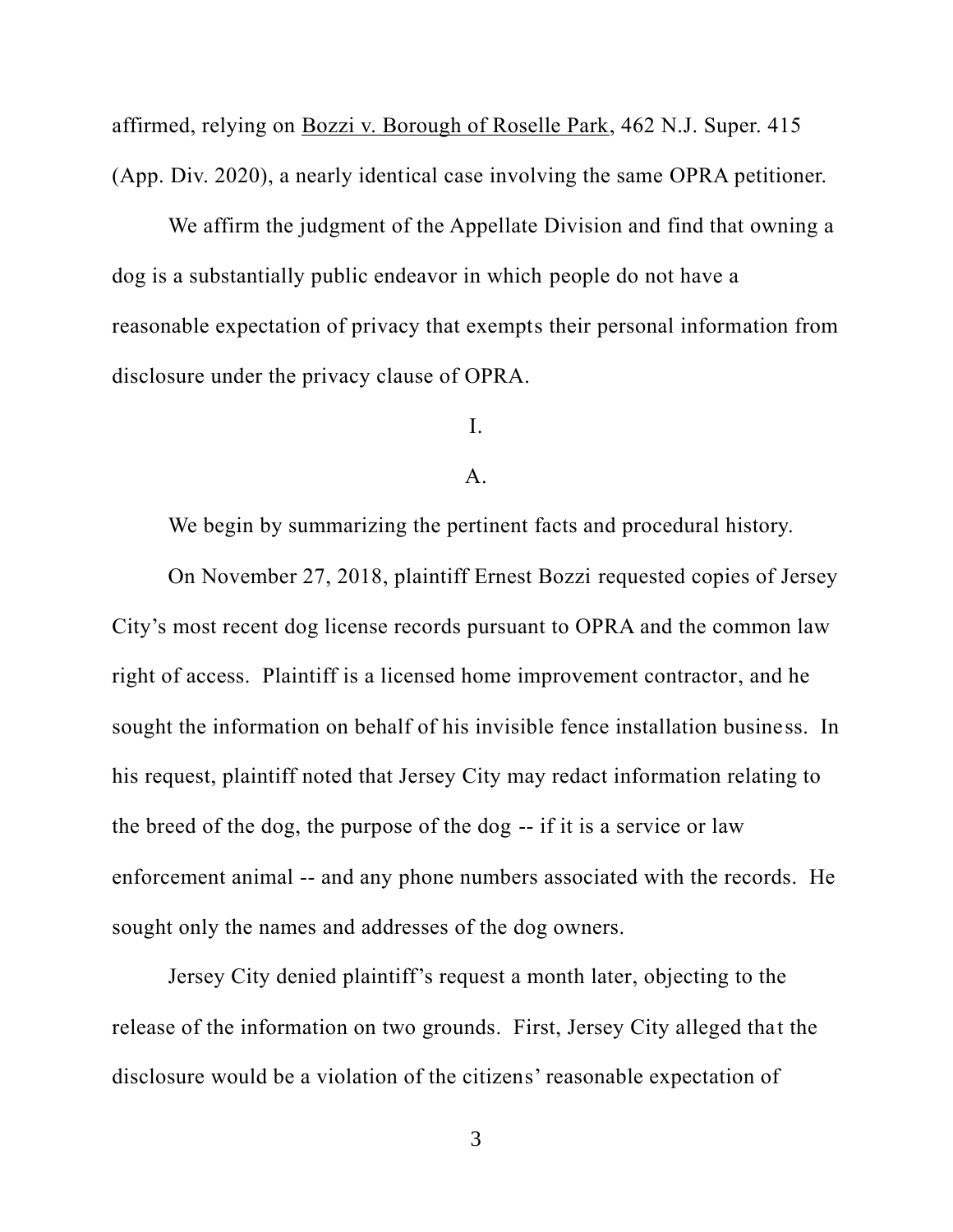affirmed, relying on Bozzi v. Borough of Roselle Park, 462 N.J. Super. 415 (App. Div. 2020), a nearly identical case involving the same OPRA petitioner.

We affirm the judgment of the Appellate Division and find that owning a dog is a substantially public endeavor in which people do not have a reasonable expectation of privacy that exempts their personal information from disclosure under the privacy clause of OPRA.

I.

#### A.

We begin by summarizing the pertinent facts and procedural history.

On November 27, 2018, plaintiff Ernest Bozzi requested copies of Jersey City's most recent dog license records pursuant to OPRA and the common law right of access. Plaintiff is a licensed home improvement contractor, and he sought the information on behalf of his invisible fence installation business. In his request, plaintiff noted that Jersey City may redact information relating to the breed of the dog, the purpose of the dog -- if it is a service or law enforcement animal -- and any phone numbers associated with the records. He sought only the names and addresses of the dog owners.

Jersey City denied plaintiff's request a month later, objecting to the release of the information on two grounds. First, Jersey City alleged that the disclosure would be a violation of the citizens' reasonable expectation of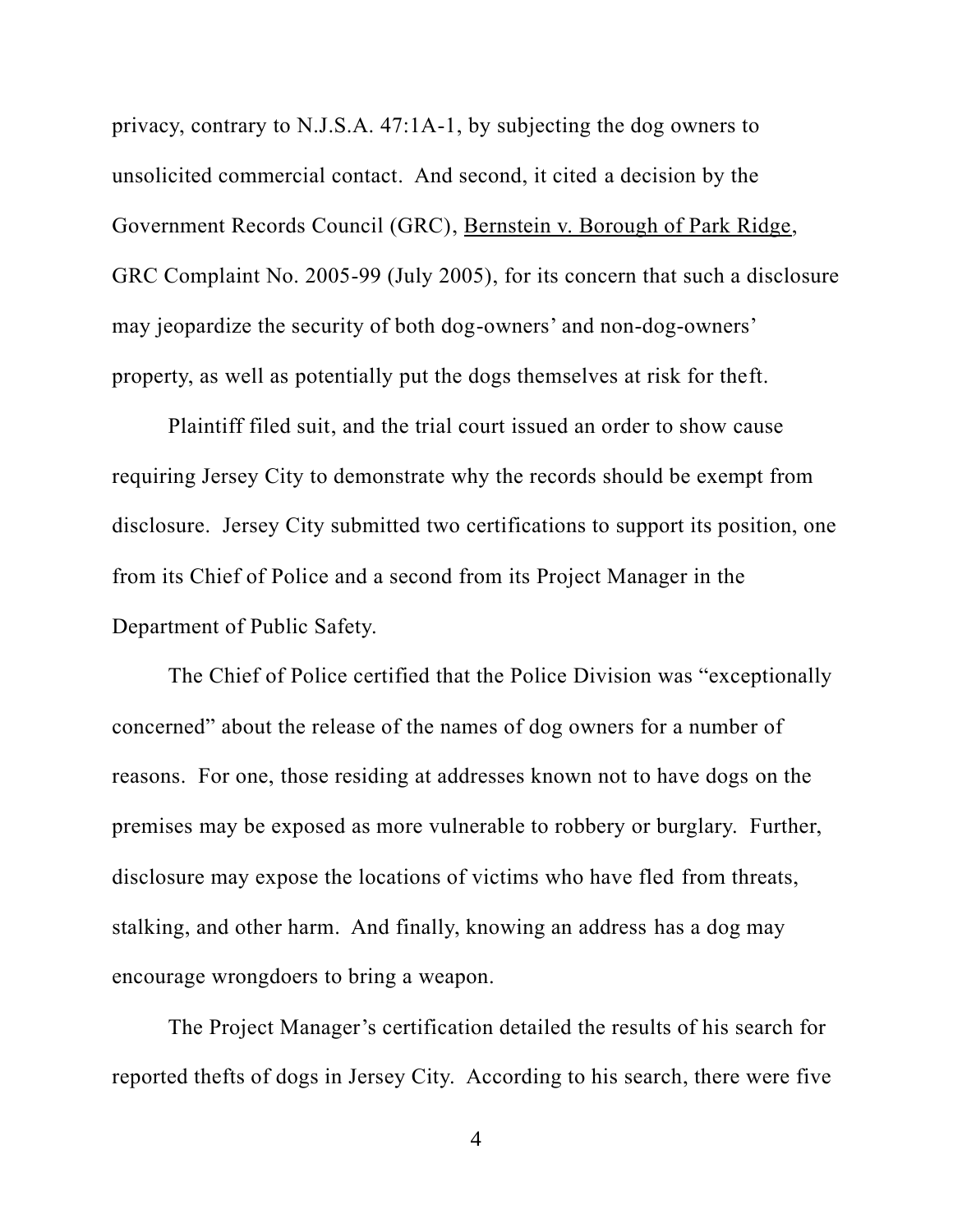privacy, contrary to N.J.S.A. 47:1A-1, by subjecting the dog owners to unsolicited commercial contact. And second, it cited a decision by the Government Records Council (GRC), Bernstein v. Borough of Park Ridge, GRC Complaint No. 2005-99 (July 2005), for its concern that such a disclosure may jeopardize the security of both dog-owners' and non-dog-owners' property, as well as potentially put the dogs themselves at risk for theft.

Plaintiff filed suit, and the trial court issued an order to show cause requiring Jersey City to demonstrate why the records should be exempt from disclosure. Jersey City submitted two certifications to support its position, one from its Chief of Police and a second from its Project Manager in the Department of Public Safety.

The Chief of Police certified that the Police Division was "exceptionally concerned" about the release of the names of dog owners for a number of reasons. For one, those residing at addresses known not to have dogs on the premises may be exposed as more vulnerable to robbery or burglary. Further, disclosure may expose the locations of victims who have fled from threats, stalking, and other harm. And finally, knowing an address has a dog may encourage wrongdoers to bring a weapon.

The Project Manager's certification detailed the results of his search for reported thefts of dogs in Jersey City. According to his search, there were five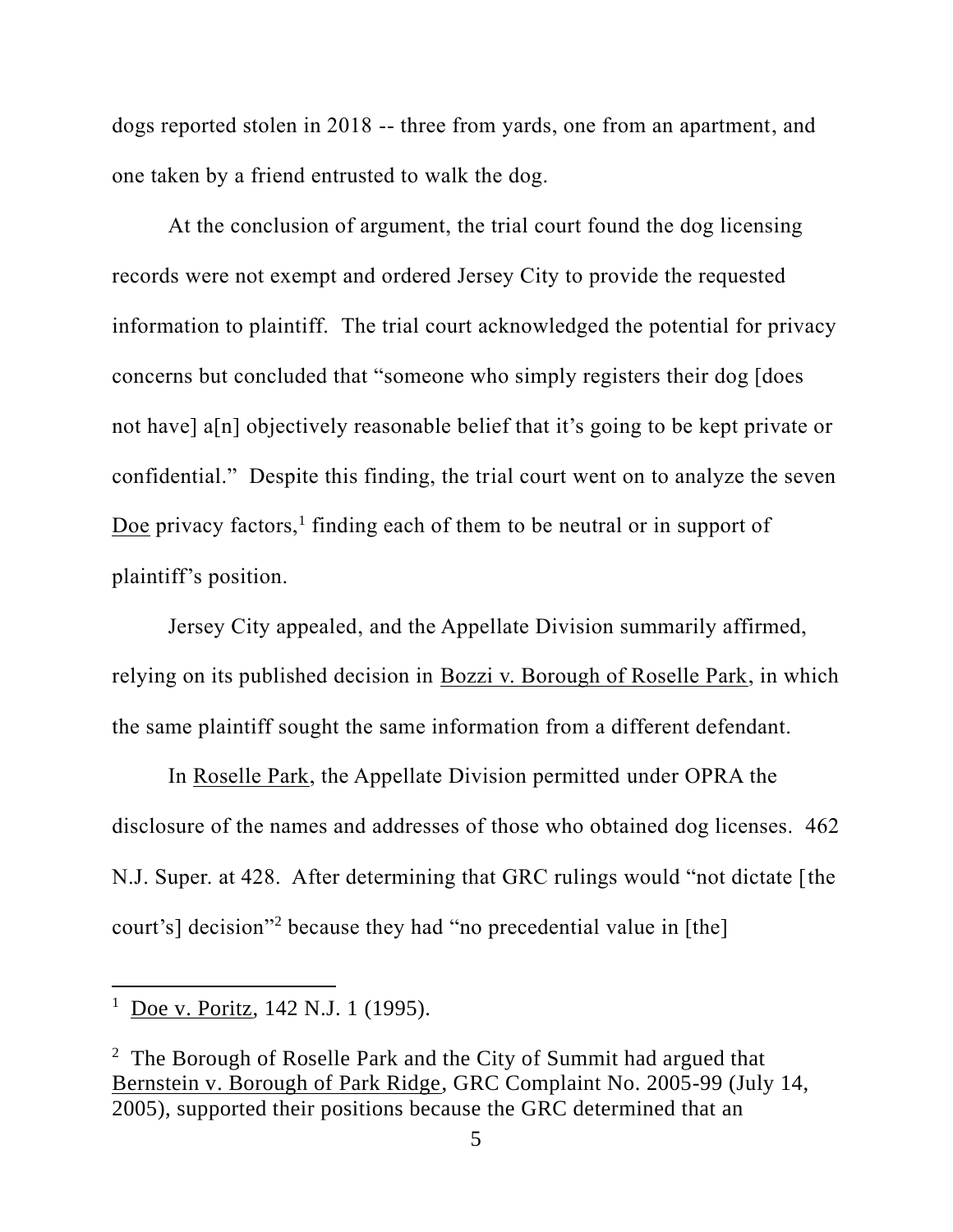dogs reported stolen in 2018 -- three from yards, one from an apartment, and one taken by a friend entrusted to walk the dog.

At the conclusion of argument, the trial court found the dog licensing records were not exempt and ordered Jersey City to provide the requested information to plaintiff. The trial court acknowledged the potential for privacy concerns but concluded that "someone who simply registers their dog [does not have] a[n] objectively reasonable belief that it's going to be kept private or confidential." Despite this finding, the trial court went on to analyze the seven Doe privacy factors,<sup>1</sup> finding each of them to be neutral or in support of plaintiff's position.

Jersey City appealed, and the Appellate Division summarily affirmed, relying on its published decision in Bozzi v. Borough of Roselle Park, in which the same plaintiff sought the same information from a different defendant.

In Roselle Park, the Appellate Division permitted under OPRA the disclosure of the names and addresses of those who obtained dog licenses. 462 N.J. Super. at 428. After determining that GRC rulings would "not dictate [the court's] decision"<sup>2</sup> because they had "no precedential value in [the]

 $1$  Doe v. Poritz, 142 N.J. 1 (1995).

<sup>&</sup>lt;sup>2</sup> The Borough of Roselle Park and the City of Summit had argued that Bernstein v. Borough of Park Ridge, GRC Complaint No. 2005-99 (July 14, 2005), supported their positions because the GRC determined that an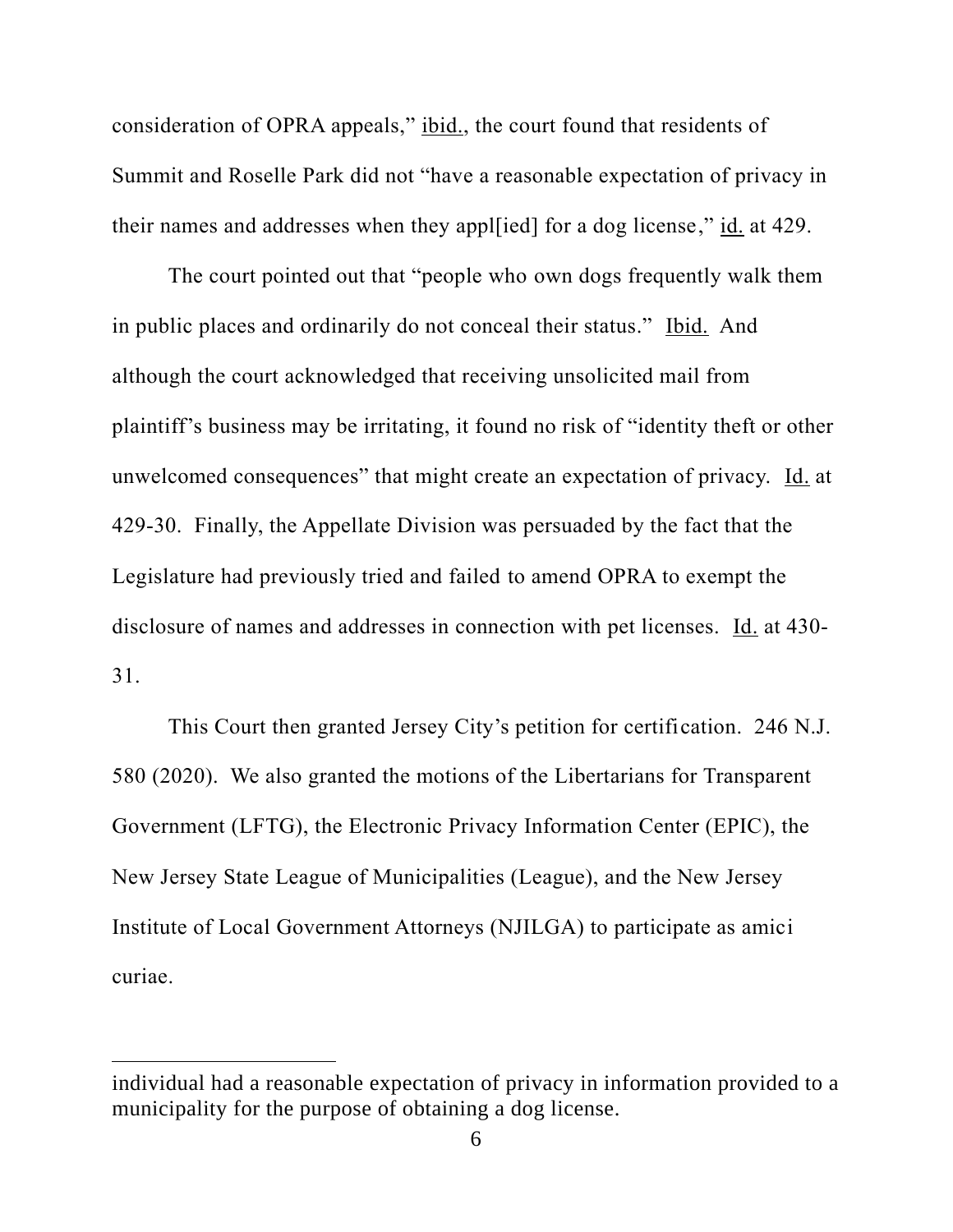consideration of OPRA appeals," ibid., the court found that residents of Summit and Roselle Park did not "have a reasonable expectation of privacy in their names and addresses when they appl[ied] for a dog license," id. at 429.

The court pointed out that "people who own dogs frequently walk them in public places and ordinarily do not conceal their status." Ibid. And although the court acknowledged that receiving unsolicited mail from plaintiff's business may be irritating, it found no risk of "identity theft or other unwelcomed consequences" that might create an expectation of privacy. Id. at 429-30. Finally, the Appellate Division was persuaded by the fact that the Legislature had previously tried and failed to amend OPRA to exempt the disclosure of names and addresses in connection with pet licenses. Id. at 430- 31.

This Court then granted Jersey City's petition for certification. 246 N.J. 580 (2020). We also granted the motions of the Libertarians for Transparent Government (LFTG), the Electronic Privacy Information Center (EPIC), the New Jersey State League of Municipalities (League), and the New Jersey Institute of Local Government Attorneys (NJILGA) to participate as amici curiae.

individual had a reasonable expectation of privacy in information provided to a municipality for the purpose of obtaining a dog license.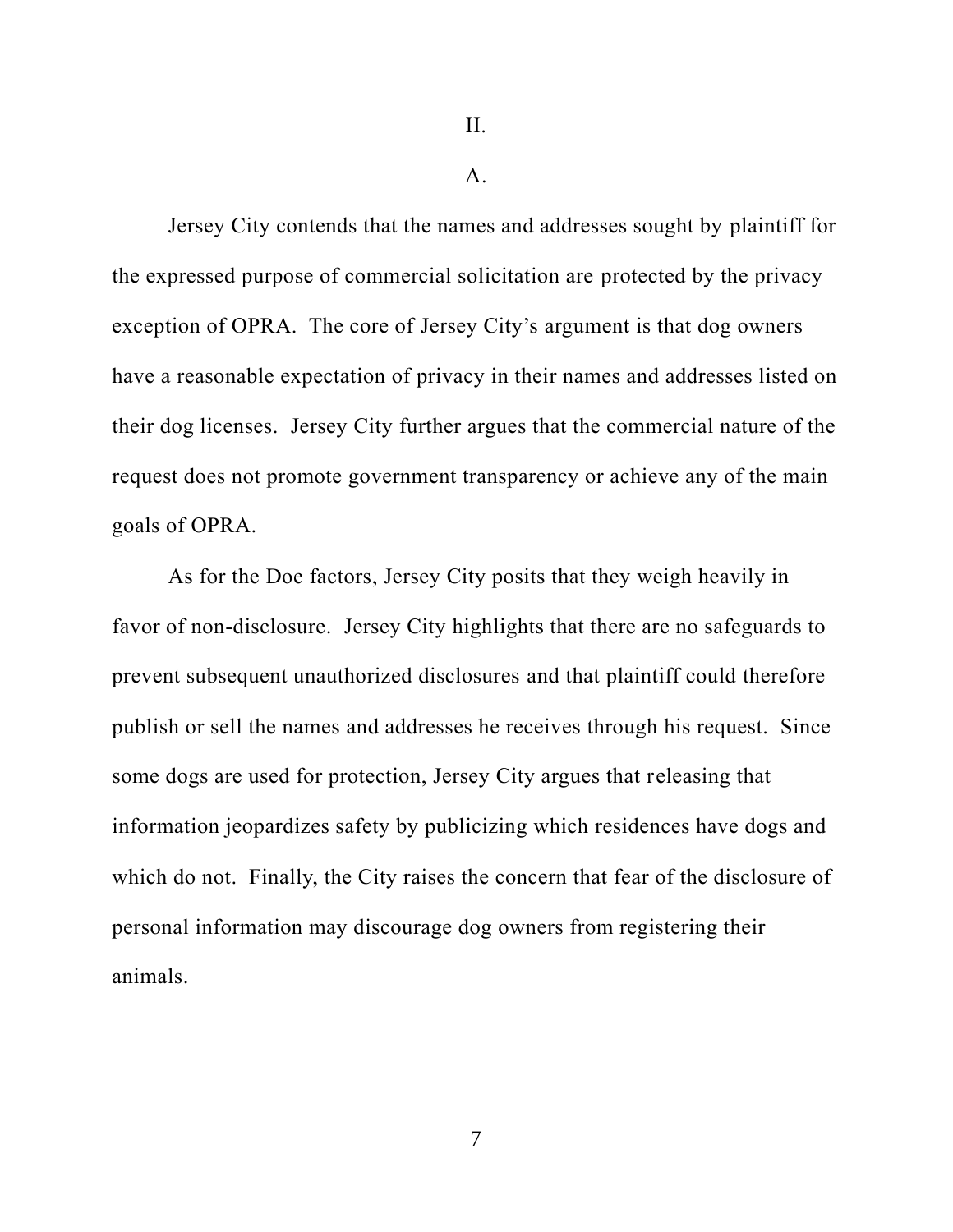II.

#### $A<sub>1</sub>$

Jersey City contends that the names and addresses sought by plaintiff for the expressed purpose of commercial solicitation are protected by the privacy exception of OPRA. The core of Jersey City's argument is that dog owners have a reasonable expectation of privacy in their names and addresses listed on their dog licenses. Jersey City further argues that the commercial nature of the request does not promote government transparency or achieve any of the main goals of OPRA.

As for the Doe factors, Jersey City posits that they weigh heavily in favor of non-disclosure. Jersey City highlights that there are no safeguards to prevent subsequent unauthorized disclosures and that plaintiff could therefore publish or sell the names and addresses he receives through his request. Since some dogs are used for protection, Jersey City argues that releasing that information jeopardizes safety by publicizing which residences have dogs and which do not. Finally, the City raises the concern that fear of the disclosure of personal information may discourage dog owners from registering their animals.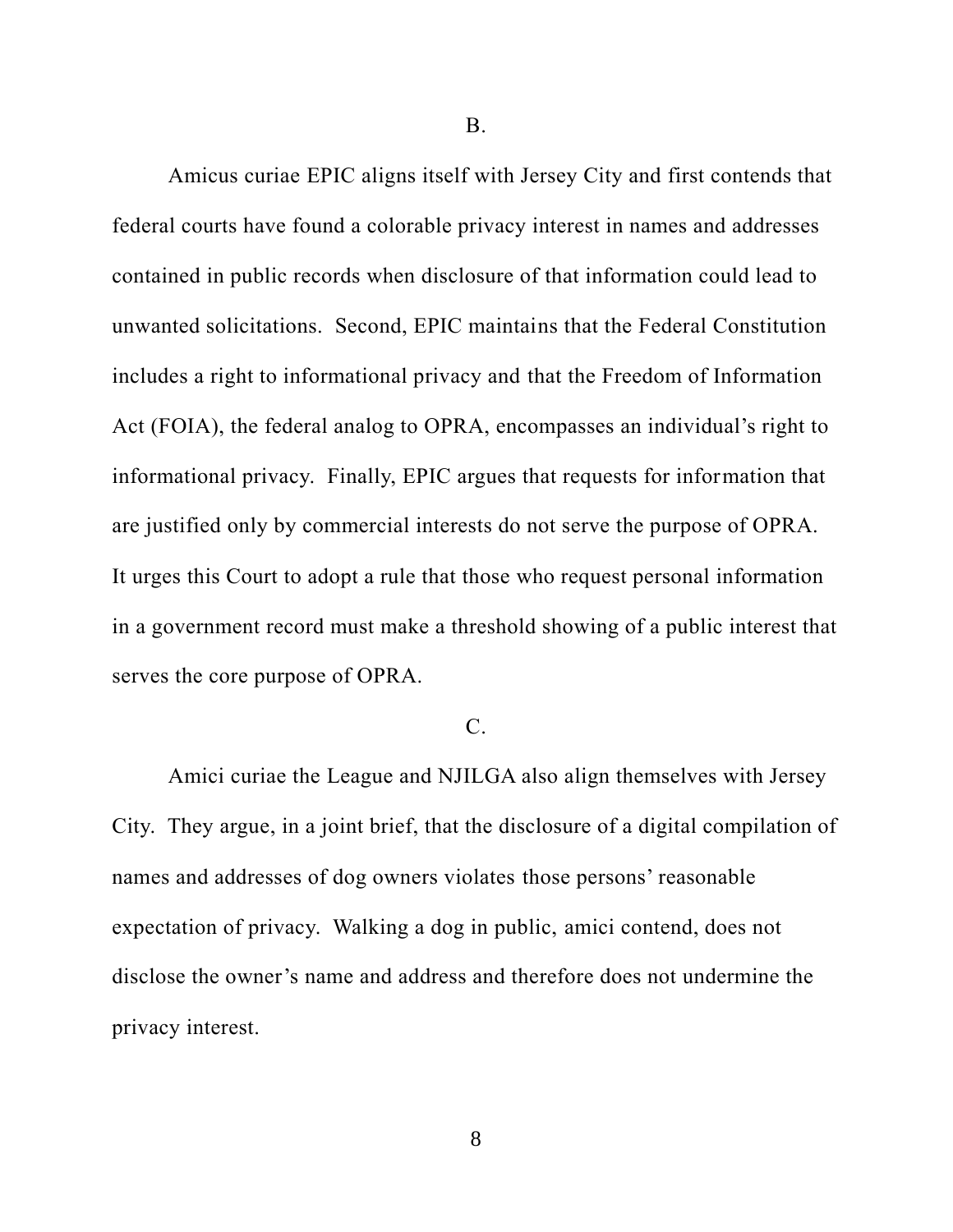B.

Amicus curiae EPIC aligns itself with Jersey City and first contends that federal courts have found a colorable privacy interest in names and addresses contained in public records when disclosure of that information could lead to unwanted solicitations. Second, EPIC maintains that the Federal Constitution includes a right to informational privacy and that the Freedom of Information Act (FOIA), the federal analog to OPRA, encompasses an individual's right to informational privacy. Finally, EPIC argues that requests for information that are justified only by commercial interests do not serve the purpose of OPRA. It urges this Court to adopt a rule that those who request personal information in a government record must make a threshold showing of a public interest that serves the core purpose of OPRA.

# C.

Amici curiae the League and NJILGA also align themselves with Jersey City. They argue, in a joint brief, that the disclosure of a digital compilation of names and addresses of dog owners violates those persons' reasonable expectation of privacy. Walking a dog in public, amici contend, does not disclose the owner's name and address and therefore does not undermine the privacy interest.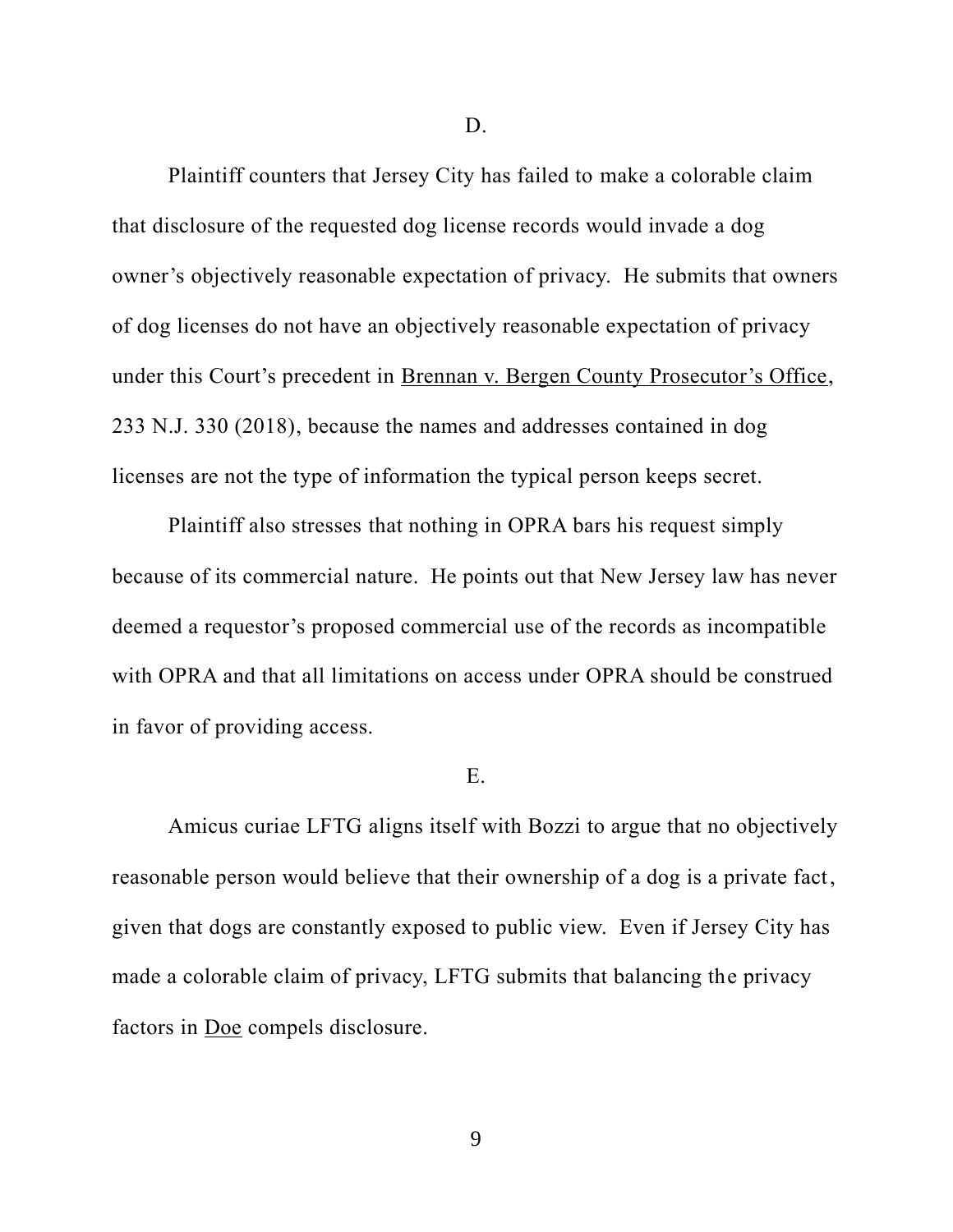Plaintiff counters that Jersey City has failed to make a colorable claim that disclosure of the requested dog license records would invade a dog owner's objectively reasonable expectation of privacy. He submits that owners of dog licenses do not have an objectively reasonable expectation of privacy under this Court's precedent in Brennan v. Bergen County Prosecutor's Office, 233 N.J. 330 (2018), because the names and addresses contained in dog licenses are not the type of information the typical person keeps secret.

Plaintiff also stresses that nothing in OPRA bars his request simply because of its commercial nature. He points out that New Jersey law has never deemed a requestor's proposed commercial use of the records as incompatible with OPRA and that all limitations on access under OPRA should be construed in favor of providing access.

#### E.

Amicus curiae LFTG aligns itself with Bozzi to argue that no objectively reasonable person would believe that their ownership of a dog is a private fact, given that dogs are constantly exposed to public view. Even if Jersey City has made a colorable claim of privacy, LFTG submits that balancing the privacy factors in Doe compels disclosure.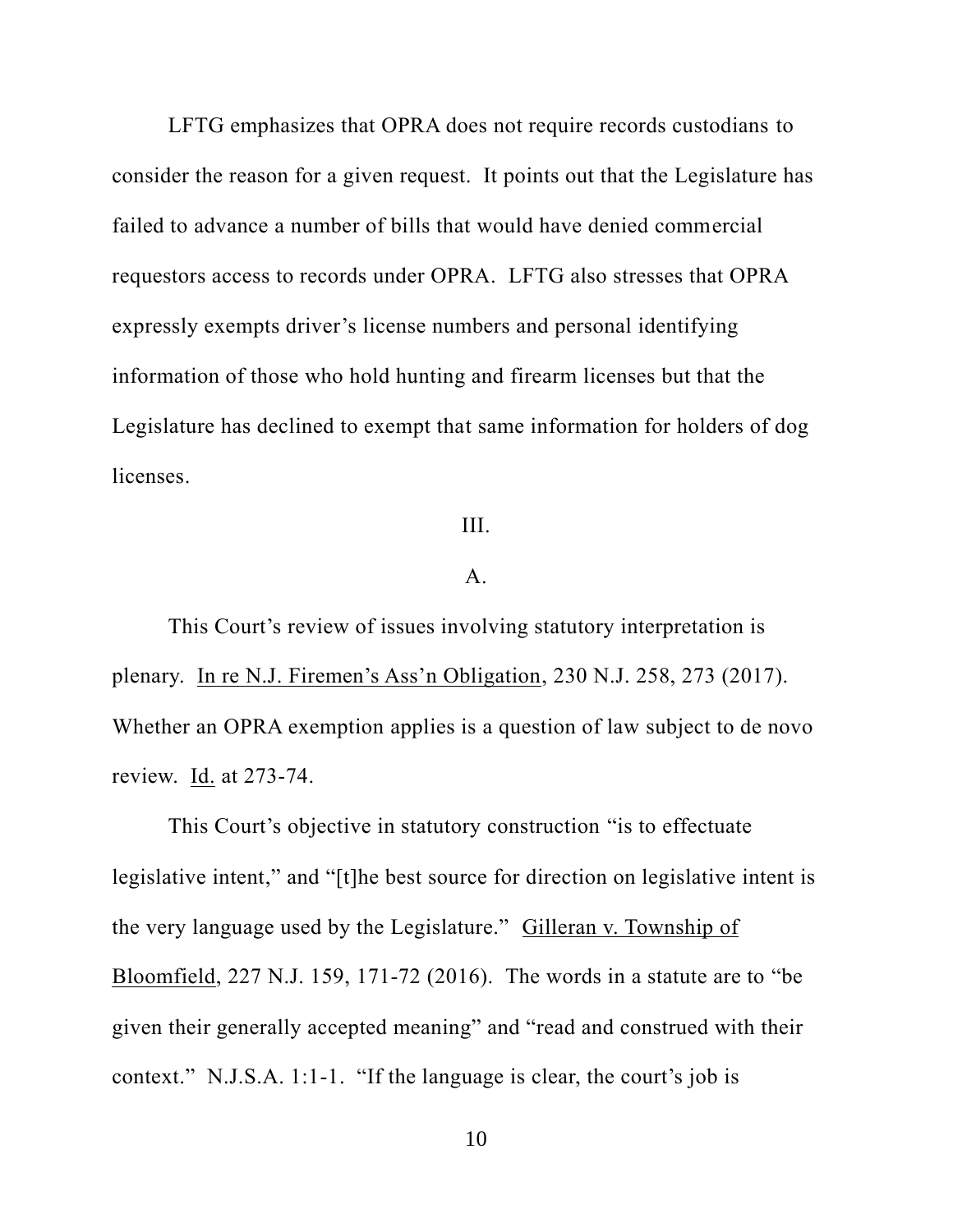LFTG emphasizes that OPRA does not require records custodians to consider the reason for a given request. It points out that the Legislature has failed to advance a number of bills that would have denied commercial requestors access to records under OPRA. LFTG also stresses that OPRA expressly exempts driver's license numbers and personal identifying information of those who hold hunting and firearm licenses but that the Legislature has declined to exempt that same information for holders of dog licenses.

# III.

## A.

This Court's review of issues involving statutory interpretation is plenary. In re N.J. Firemen's Ass'n Obligation, 230 N.J. 258, 273 (2017). Whether an OPRA exemption applies is a question of law subject to de novo review. **Id.** at 273-74.

This Court's objective in statutory construction "is to effectuate legislative intent," and "[t]he best source for direction on legislative intent is the very language used by the Legislature." Gilleran v. Township of Bloomfield, 227 N.J. 159, 171-72 (2016). The words in a statute are to "be given their generally accepted meaning" and "read and construed with their context." N.J.S.A. 1:1-1. "If the language is clear, the court's job is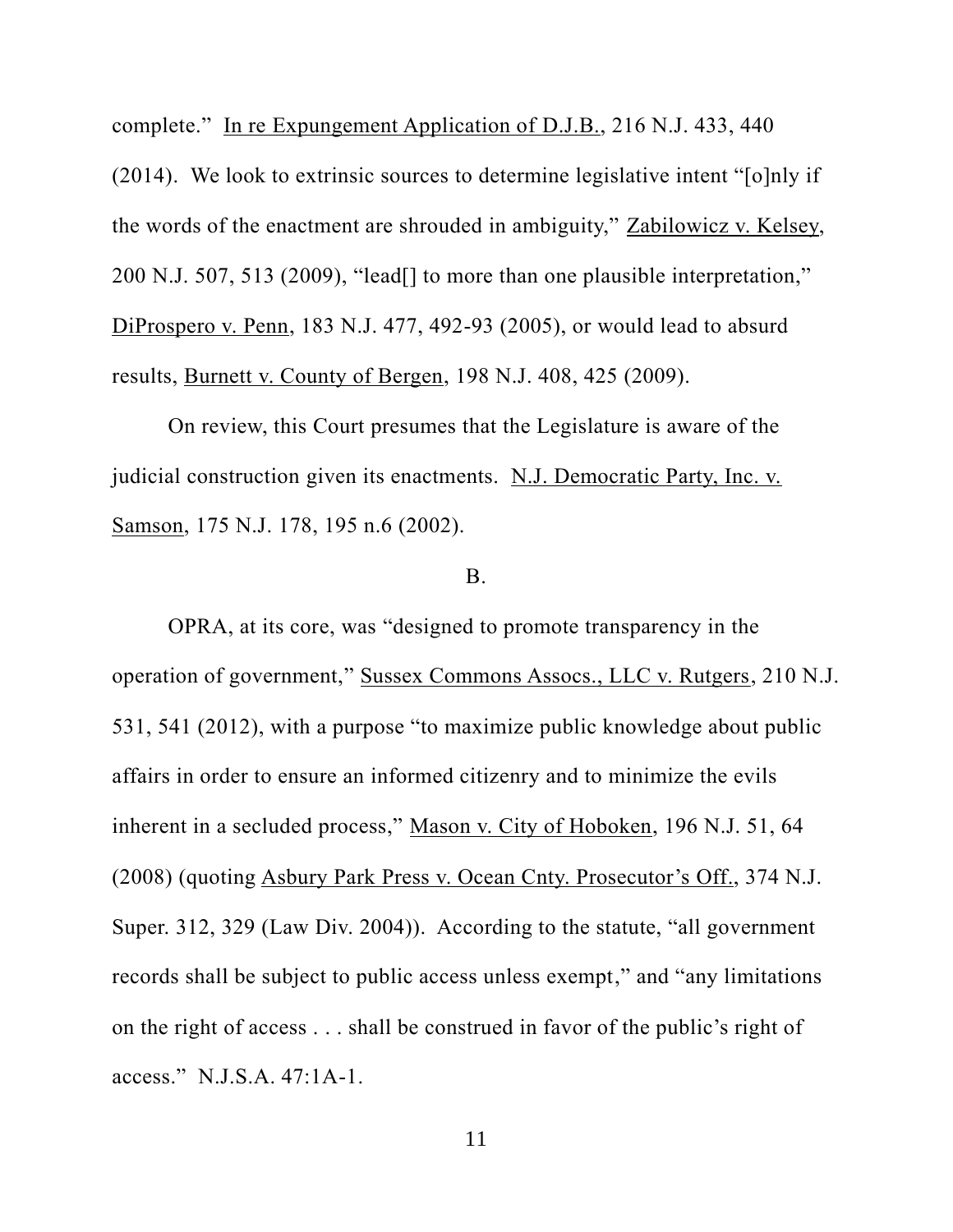complete." In re Expungement Application of D.J.B., 216 N.J. 433, 440

(2014). We look to extrinsic sources to determine legislative intent "[o]nly if the words of the enactment are shrouded in ambiguity," Zabilowicz v. Kelsey, 200 N.J. 507, 513 (2009), "lead[] to more than one plausible interpretation," DiProspero v. Penn, 183 N.J. 477, 492-93 (2005), or would lead to absurd results, Burnett v. County of Bergen, 198 N.J. 408, 425 (2009).

On review, this Court presumes that the Legislature is aware of the judicial construction given its enactments. N.J. Democratic Party, Inc. v. Samson, 175 N.J. 178, 195 n.6 (2002).

# B.

OPRA, at its core, was "designed to promote transparency in the operation of government," Sussex Commons Assocs., LLC v. Rutgers, 210 N.J. 531, 541 (2012), with a purpose "to maximize public knowledge about public affairs in order to ensure an informed citizenry and to minimize the evils inherent in a secluded process," Mason v. City of Hoboken, 196 N.J. 51, 64 (2008) (quoting Asbury Park Press v. Ocean Cnty. Prosecutor's Off., 374 N.J. Super. 312, 329 (Law Div. 2004)). According to the statute, "all government records shall be subject to public access unless exempt," and "any limitations on the right of access . . . shall be construed in favor of the public's right of access." N.J.S.A. 47:1A-1.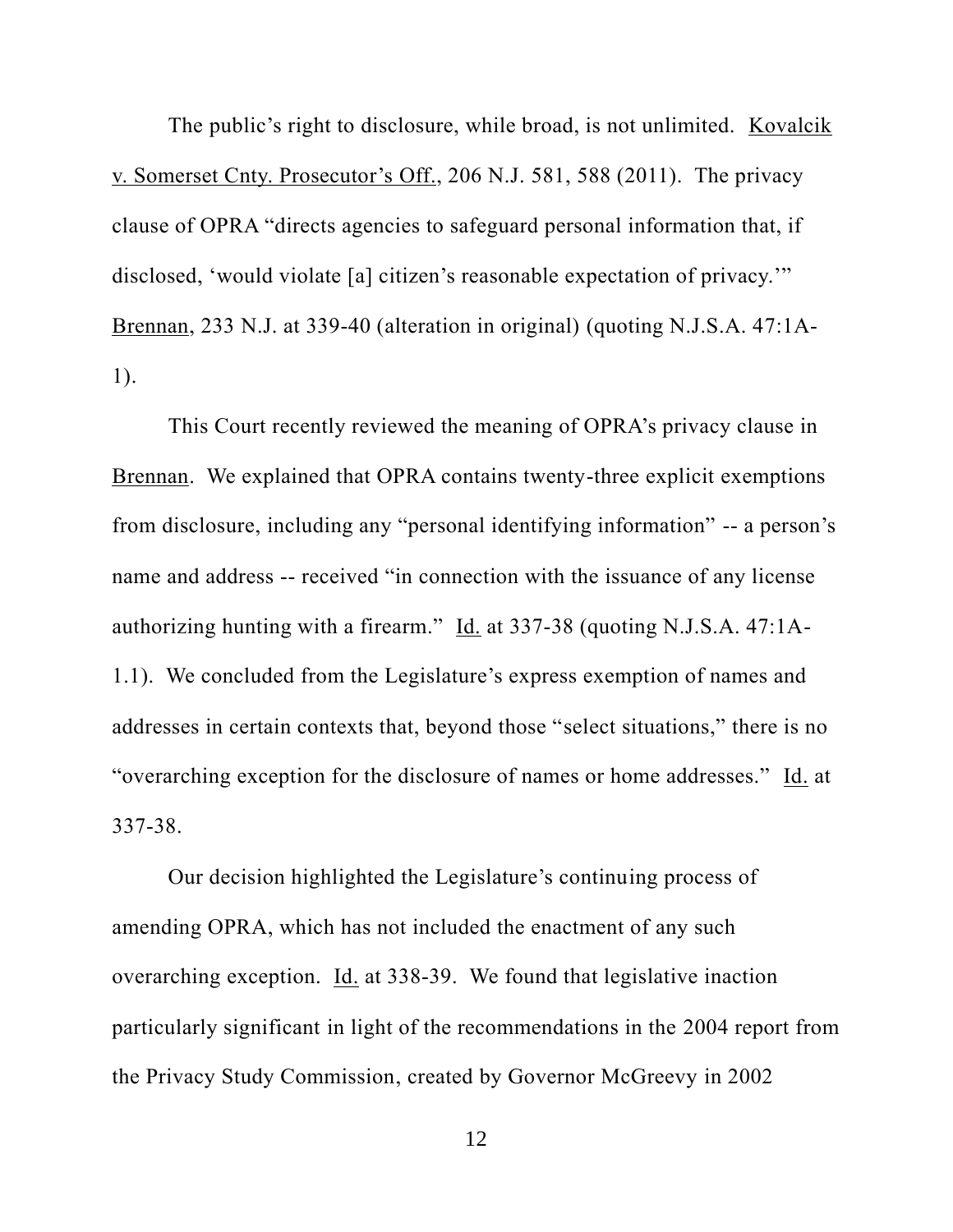The public's right to disclosure, while broad, is not unlimited. Kovalcik v. Somerset Cnty. Prosecutor's Off., 206 N.J. 581, 588 (2011). The privacy clause of OPRA "directs agencies to safeguard personal information that, if disclosed, 'would violate [a] citizen's reasonable expectation of privacy.'" Brennan, 233 N.J. at 339-40 (alteration in original) (quoting N.J.S.A. 47:1A-1).

This Court recently reviewed the meaning of OPRA's privacy clause in Brennan. We explained that OPRA contains twenty-three explicit exemptions from disclosure, including any "personal identifying information" -- a person's name and address -- received "in connection with the issuance of any license authorizing hunting with a firearm." Id. at 337-38 (quoting N.J.S.A. 47:1A-1.1). We concluded from the Legislature's express exemption of names and addresses in certain contexts that, beyond those "select situations," there is no "overarching exception for the disclosure of names or home addresses." Id. at 337-38.

Our decision highlighted the Legislature's continuing process of amending OPRA, which has not included the enactment of any such overarching exception. Id. at 338-39. We found that legislative inaction particularly significant in light of the recommendations in the 2004 report from the Privacy Study Commission, created by Governor McGreevy in 2002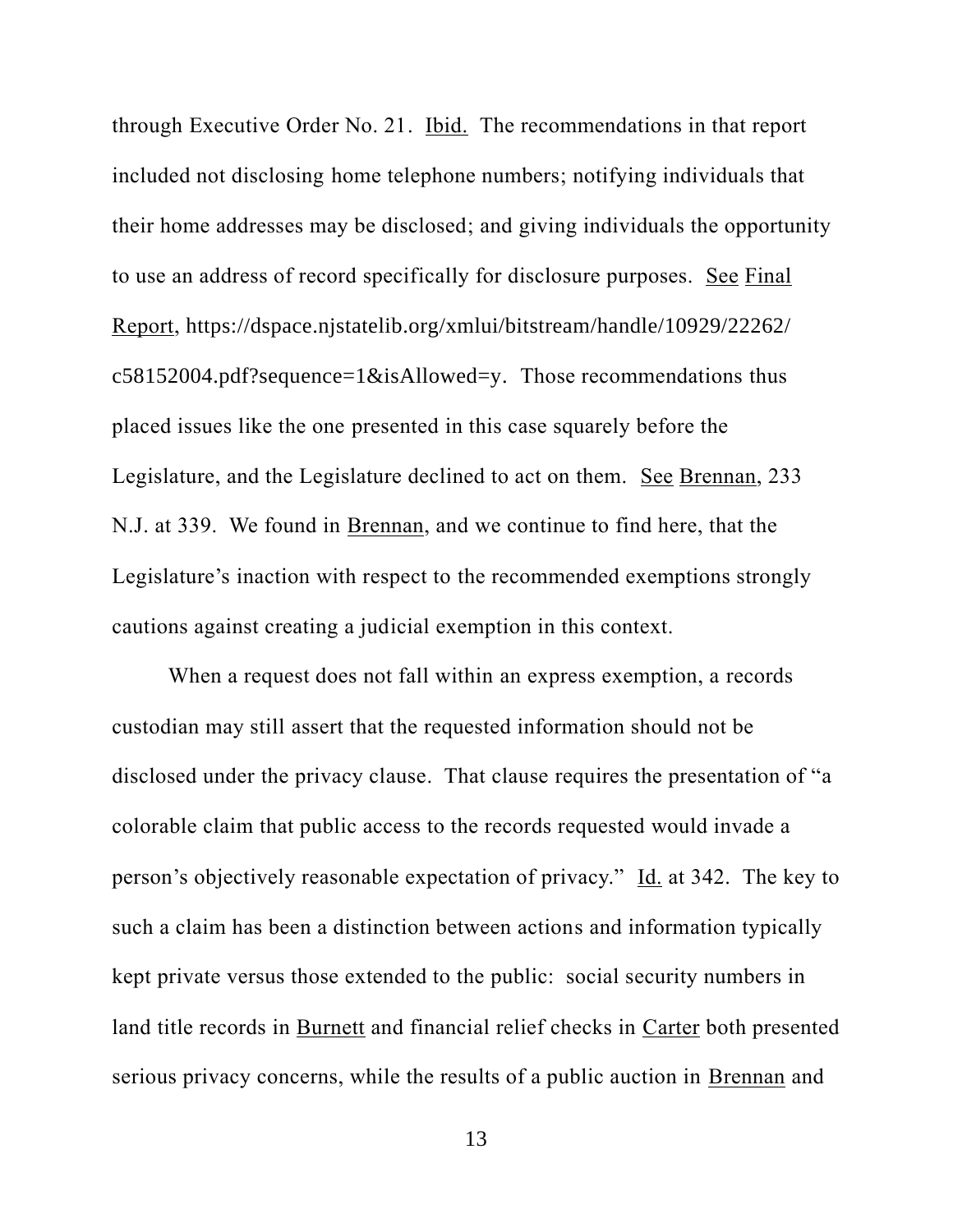through Executive Order No. 21. Ibid. The recommendations in that report included not disclosing home telephone numbers; notifying individuals that their home addresses may be disclosed; and giving individuals the opportunity to use an address of record specifically for disclosure purposes. See Final Report, https://dspace.njstatelib.org/xmlui/bitstream/handle/10929/22262/ c58152004.pdf?sequence=1&isAllowed=y. Those recommendations thus placed issues like the one presented in this case squarely before the Legislature, and the Legislature declined to act on them. See Brennan, 233 N.J. at 339. We found in Brennan, and we continue to find here, that the Legislature's inaction with respect to the recommended exemptions strongly cautions against creating a judicial exemption in this context.

When a request does not fall within an express exemption, a records custodian may still assert that the requested information should not be disclosed under the privacy clause. That clause requires the presentation of "a colorable claim that public access to the records requested would invade a person's objectively reasonable expectation of privacy." Id. at 342. The key to such a claim has been a distinction between actions and information typically kept private versus those extended to the public: social security numbers in land title records in Burnett and financial relief checks in Carter both presented serious privacy concerns, while the results of a public auction in Brennan and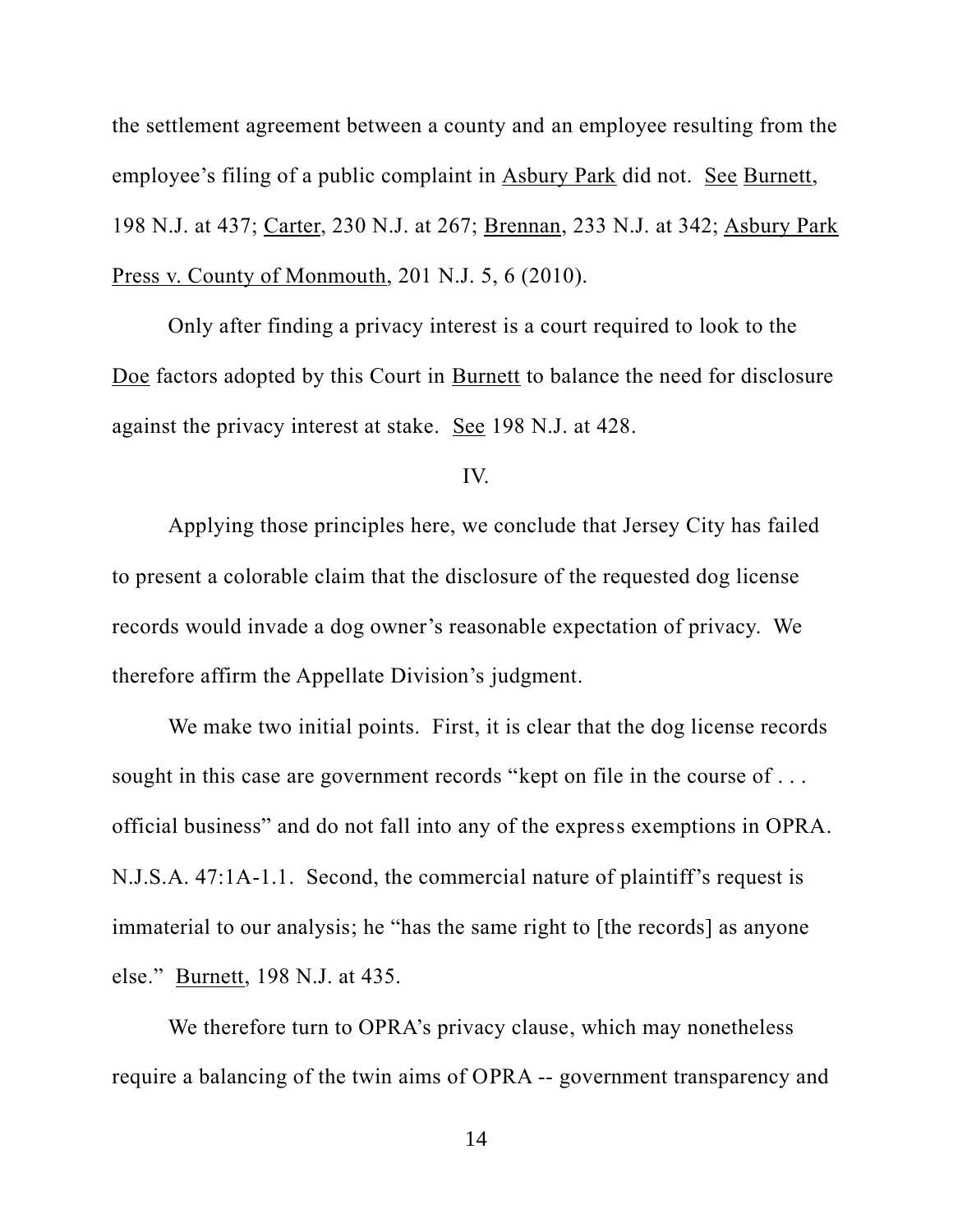the settlement agreement between a county and an employee resulting from the employee's filing of a public complaint in Asbury Park did not. See Burnett, 198 N.J. at 437; Carter, 230 N.J. at 267; Brennan, 233 N.J. at 342; Asbury Park Press v. County of Monmouth, 201 N.J. 5, 6 (2010).

Only after finding a privacy interest is a court required to look to the Doe factors adopted by this Court in Burnett to balance the need for disclosure against the privacy interest at stake. See 198 N.J. at 428.

#### IV.

Applying those principles here, we conclude that Jersey City has failed to present a colorable claim that the disclosure of the requested dog license records would invade a dog owner's reasonable expectation of privacy. We therefore affirm the Appellate Division's judgment.

We make two initial points. First, it is clear that the dog license records sought in this case are government records "kept on file in the course of . . . official business" and do not fall into any of the express exemptions in OPRA. N.J.S.A. 47:1A-1.1. Second, the commercial nature of plaintiff's request is immaterial to our analysis; he "has the same right to [the records] as anyone else." Burnett, 198 N.J. at 435.

We therefore turn to OPRA's privacy clause, which may nonetheless require a balancing of the twin aims of OPRA -- government transparency and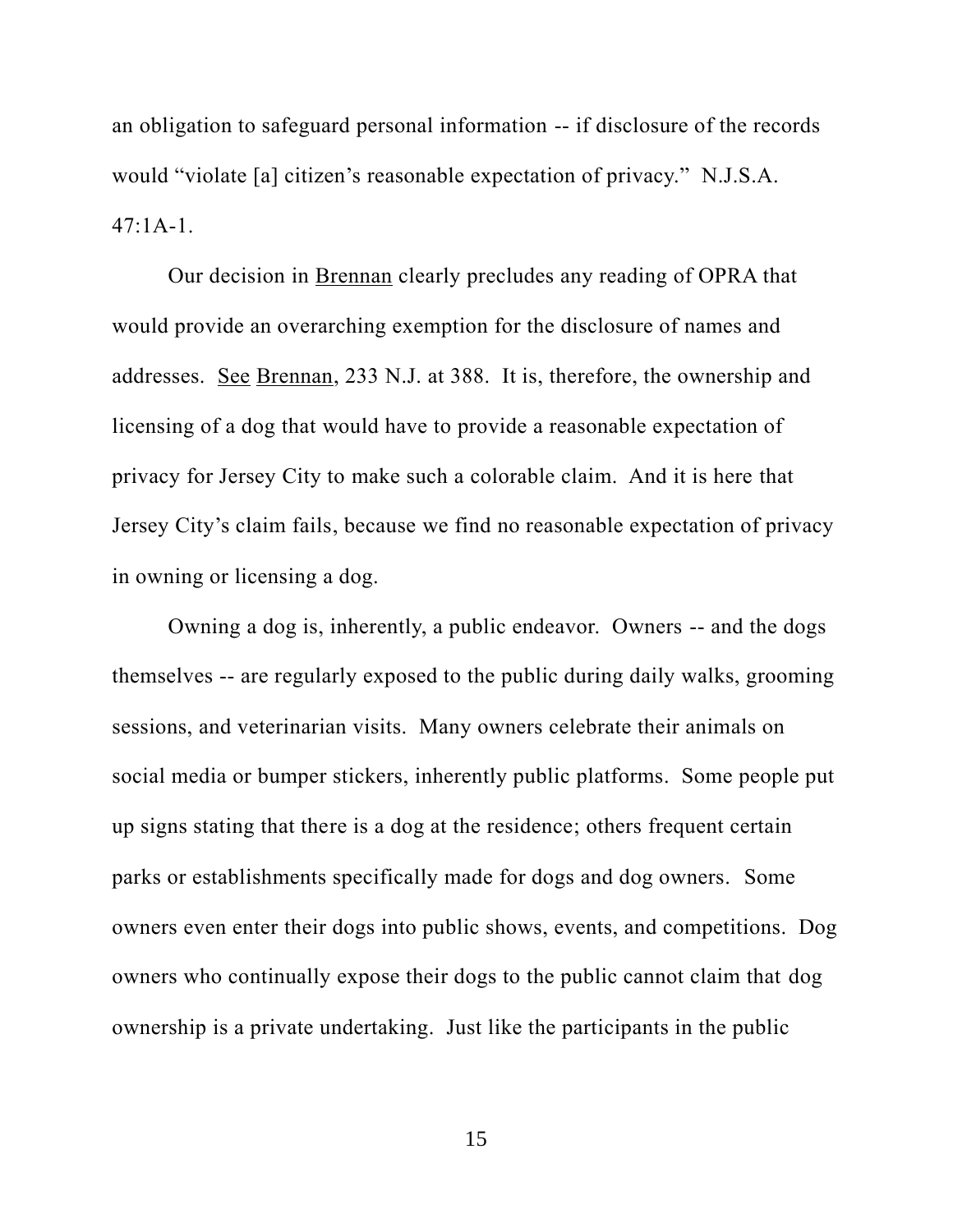an obligation to safeguard personal information -- if disclosure of the records would "violate [a] citizen's reasonable expectation of privacy." N.J.S.A.  $47:1A-1$ .

Our decision in Brennan clearly precludes any reading of OPRA that would provide an overarching exemption for the disclosure of names and addresses. See Brennan, 233 N.J. at 388. It is, therefore, the ownership and licensing of a dog that would have to provide a reasonable expectation of privacy for Jersey City to make such a colorable claim. And it is here that Jersey City's claim fails, because we find no reasonable expectation of privacy in owning or licensing a dog.

Owning a dog is, inherently, a public endeavor. Owners -- and the dogs themselves -- are regularly exposed to the public during daily walks, grooming sessions, and veterinarian visits. Many owners celebrate their animals on social media or bumper stickers, inherently public platforms. Some people put up signs stating that there is a dog at the residence; others frequent certain parks or establishments specifically made for dogs and dog owners. Some owners even enter their dogs into public shows, events, and competitions. Dog owners who continually expose their dogs to the public cannot claim that dog ownership is a private undertaking. Just like the participants in the public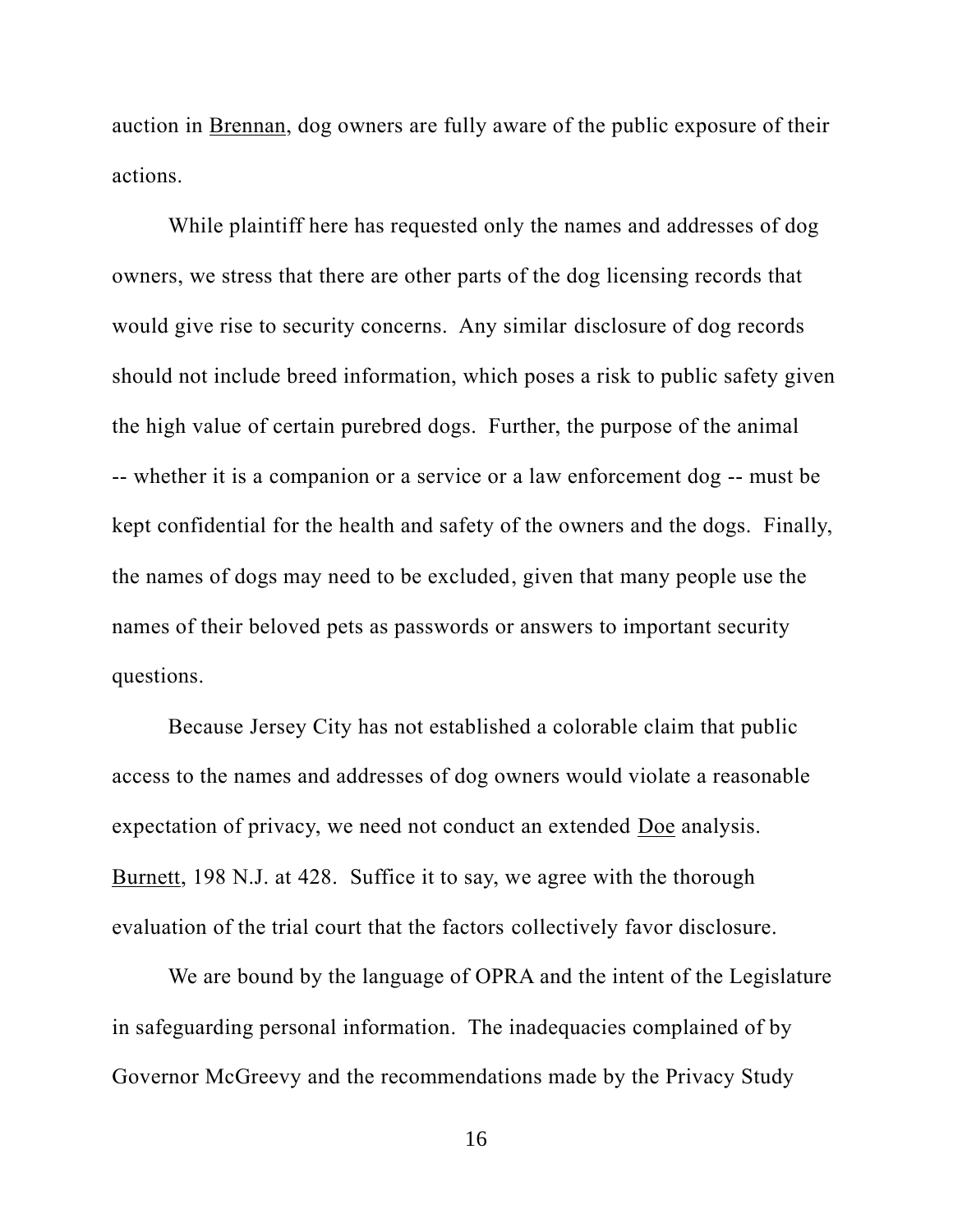auction in Brennan, dog owners are fully aware of the public exposure of their actions.

While plaintiff here has requested only the names and addresses of dog owners, we stress that there are other parts of the dog licensing records that would give rise to security concerns. Any similar disclosure of dog records should not include breed information, which poses a risk to public safety given the high value of certain purebred dogs. Further, the purpose of the animal -- whether it is a companion or a service or a law enforcement dog -- must be kept confidential for the health and safety of the owners and the dogs. Finally, the names of dogs may need to be excluded, given that many people use the names of their beloved pets as passwords or answers to important security questions.

Because Jersey City has not established a colorable claim that public access to the names and addresses of dog owners would violate a reasonable expectation of privacy, we need not conduct an extended Doe analysis. Burnett, 198 N.J. at 428. Suffice it to say, we agree with the thorough evaluation of the trial court that the factors collectively favor disclosure.

We are bound by the language of OPRA and the intent of the Legislature in safeguarding personal information. The inadequacies complained of by Governor McGreevy and the recommendations made by the Privacy Study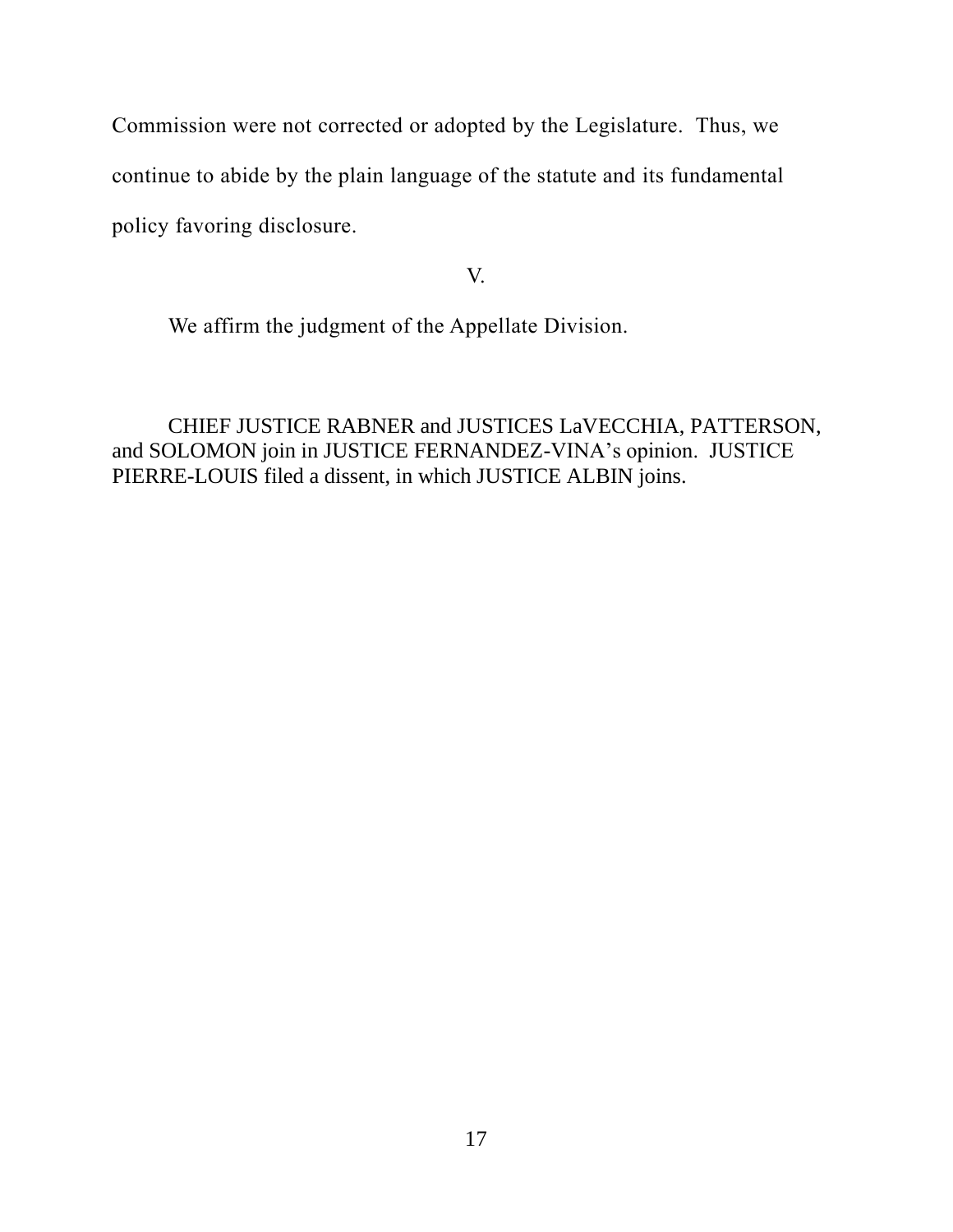Commission were not corrected or adopted by the Legislature. Thus, we continue to abide by the plain language of the statute and its fundamental policy favoring disclosure.

# V.

We affirm the judgment of the Appellate Division.

CHIEF JUSTICE RABNER and JUSTICES LaVECCHIA, PATTERSON, and SOLOMON join in JUSTICE FERNANDEZ-VINA's opinion. JUSTICE PIERRE-LOUIS filed a dissent, in which JUSTICE ALBIN joins.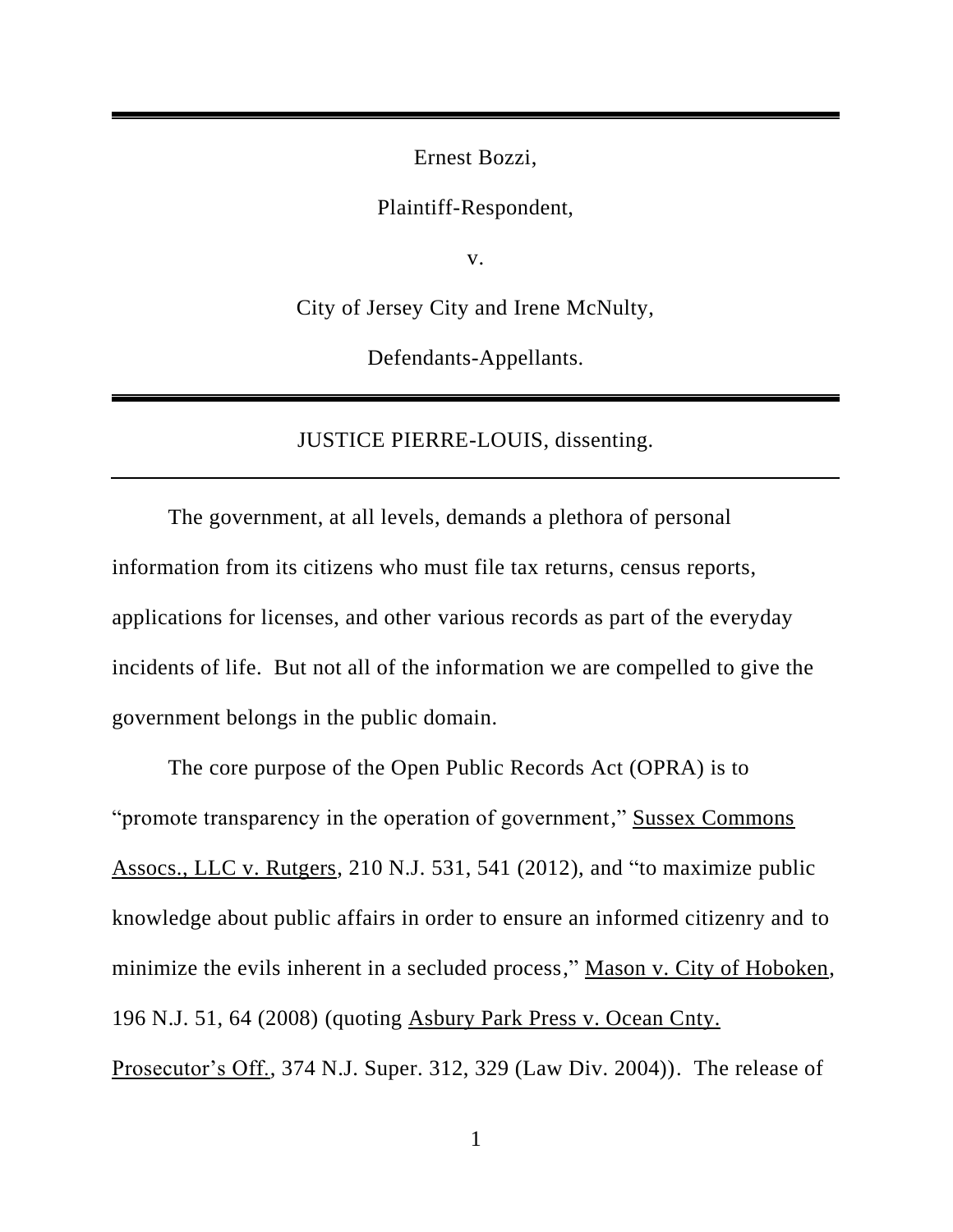Ernest Bozzi,

Plaintiff-Respondent,

v.

City of Jersey City and Irene McNulty,

Defendants-Appellants.

JUSTICE PIERRE-LOUIS, dissenting.

The government, at all levels, demands a plethora of personal information from its citizens who must file tax returns, census reports, applications for licenses, and other various records as part of the everyday incidents of life. But not all of the information we are compelled to give the government belongs in the public domain.

The core purpose of the Open Public Records Act (OPRA) is to "promote transparency in the operation of government," Sussex Commons Assocs., LLC v. Rutgers, 210 N.J. 531, 541 (2012), and "to maximize public knowledge about public affairs in order to ensure an informed citizenry and to minimize the evils inherent in a secluded process," Mason v. City of Hoboken, 196 N.J. 51, 64 (2008) (quoting Asbury Park Press v. Ocean Cnty. Prosecutor's Off., 374 N.J. Super. 312, 329 (Law Div. 2004)). The release of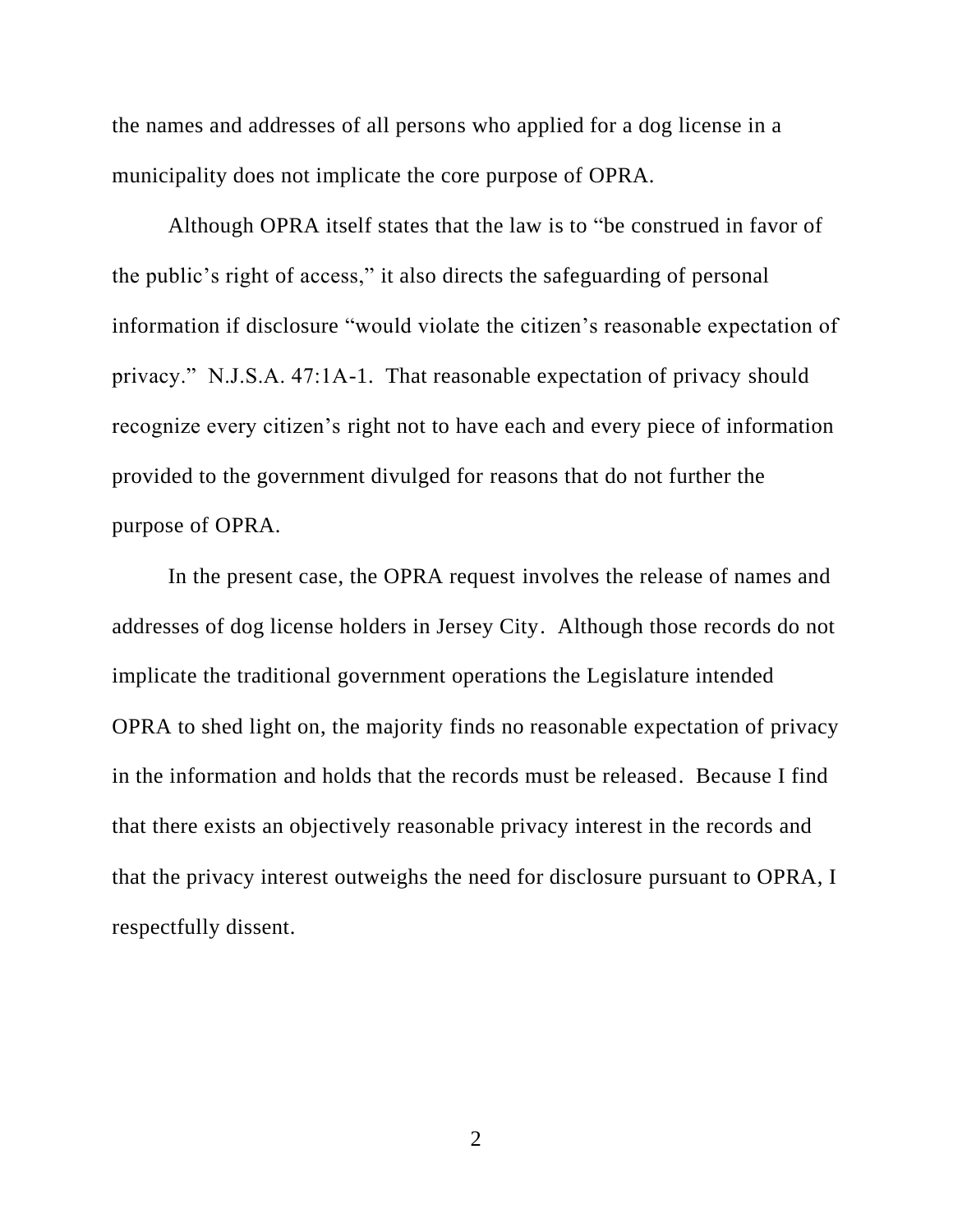the names and addresses of all persons who applied for a dog license in a municipality does not implicate the core purpose of OPRA.

Although OPRA itself states that the law is to "be construed in favor of the public's right of access," it also directs the safeguarding of personal information if disclosure "would violate the citizen's reasonable expectation of privacy." N.J.S.A. 47:1A-1. That reasonable expectation of privacy should recognize every citizen's right not to have each and every piece of information provided to the government divulged for reasons that do not further the purpose of OPRA.

In the present case, the OPRA request involves the release of names and addresses of dog license holders in Jersey City. Although those records do not implicate the traditional government operations the Legislature intended OPRA to shed light on, the majority finds no reasonable expectation of privacy in the information and holds that the records must be released. Because I find that there exists an objectively reasonable privacy interest in the records and that the privacy interest outweighs the need for disclosure pursuant to OPRA, I respectfully dissent.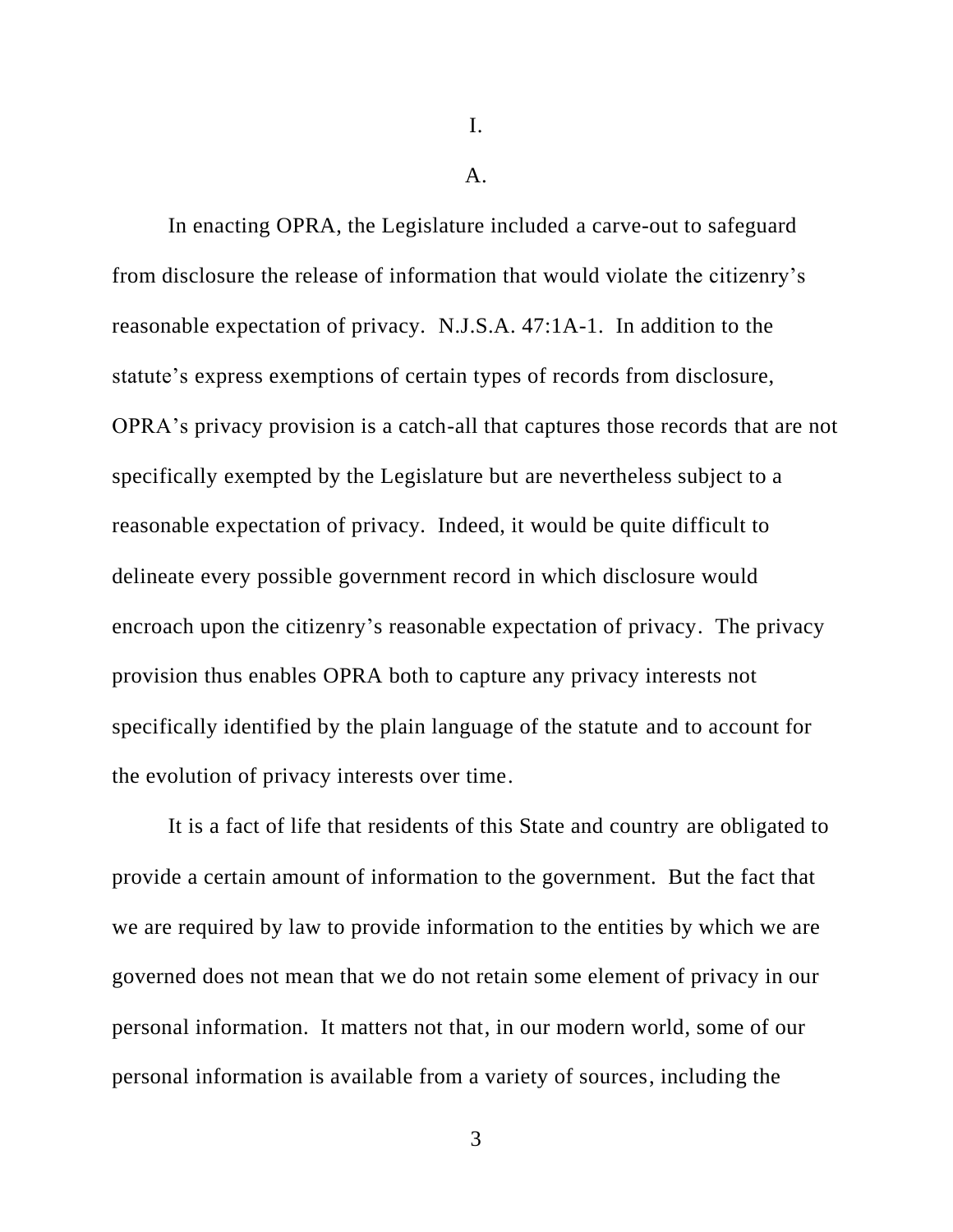I.

 $\mathbf{A}$ .

In enacting OPRA, the Legislature included a carve-out to safeguard from disclosure the release of information that would violate the citizenry's reasonable expectation of privacy. N.J.S.A. 47:1A-1. In addition to the statute's express exemptions of certain types of records from disclosure, OPRA's privacy provision is a catch-all that captures those records that are not specifically exempted by the Legislature but are nevertheless subject to a reasonable expectation of privacy. Indeed, it would be quite difficult to delineate every possible government record in which disclosure would encroach upon the citizenry's reasonable expectation of privacy. The privacy provision thus enables OPRA both to capture any privacy interests not specifically identified by the plain language of the statute and to account for the evolution of privacy interests over time.

It is a fact of life that residents of this State and country are obligated to provide a certain amount of information to the government. But the fact that we are required by law to provide information to the entities by which we are governed does not mean that we do not retain some element of privacy in our personal information. It matters not that, in our modern world, some of our personal information is available from a variety of sources, including the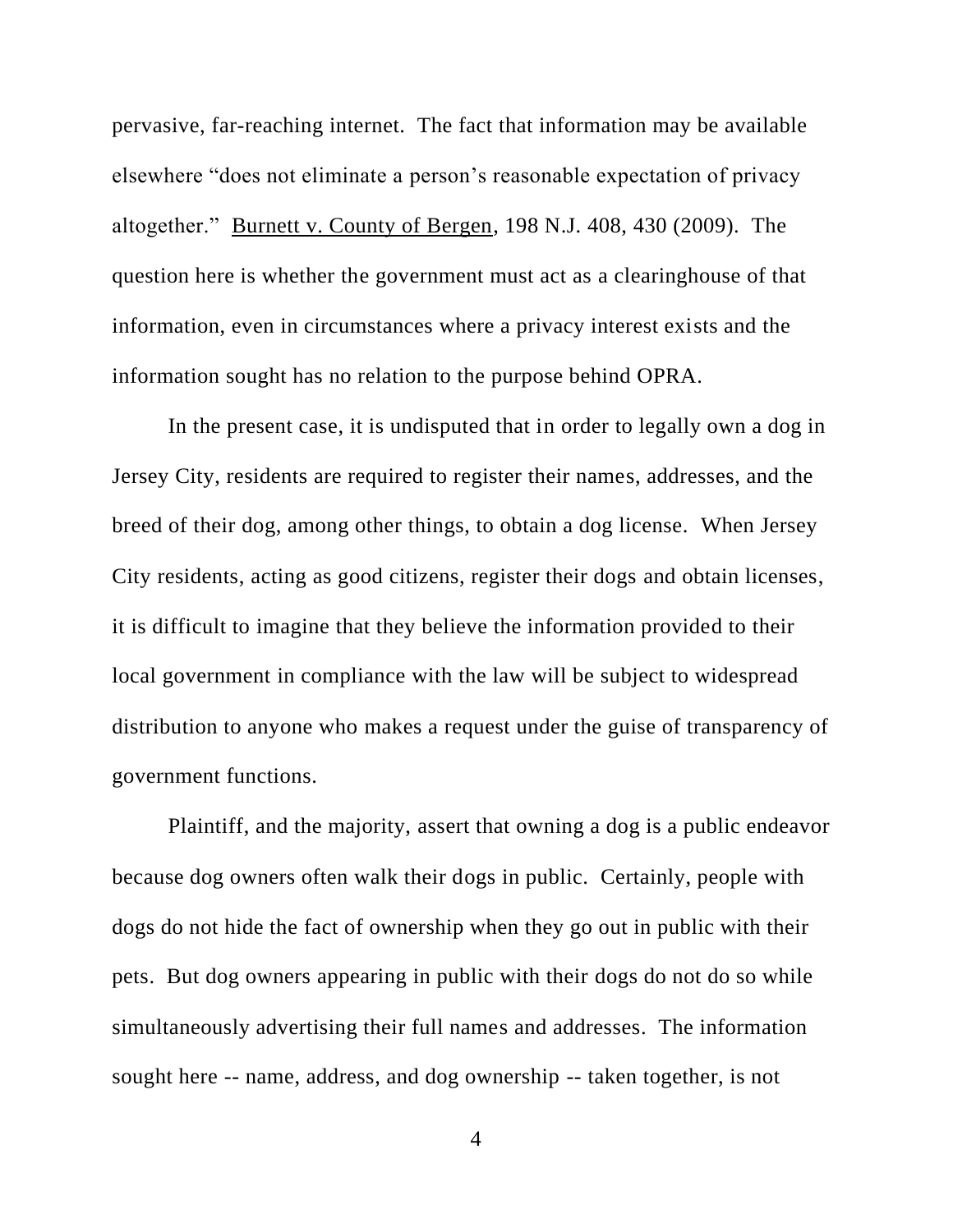pervasive, far-reaching internet. The fact that information may be available elsewhere "does not eliminate a person's reasonable expectation of privacy altogether." Burnett v. County of Bergen, 198 N.J. 408, 430 (2009). The question here is whether the government must act as a clearinghouse of that information, even in circumstances where a privacy interest exists and the information sought has no relation to the purpose behind OPRA.

In the present case, it is undisputed that in order to legally own a dog in Jersey City, residents are required to register their names, addresses, and the breed of their dog, among other things, to obtain a dog license. When Jersey City residents, acting as good citizens, register their dogs and obtain licenses, it is difficult to imagine that they believe the information provided to their local government in compliance with the law will be subject to widespread distribution to anyone who makes a request under the guise of transparency of government functions.

Plaintiff, and the majority, assert that owning a dog is a public endeavor because dog owners often walk their dogs in public. Certainly, people with dogs do not hide the fact of ownership when they go out in public with their pets. But dog owners appearing in public with their dogs do not do so while simultaneously advertising their full names and addresses. The information sought here -- name, address, and dog ownership -- taken together, is not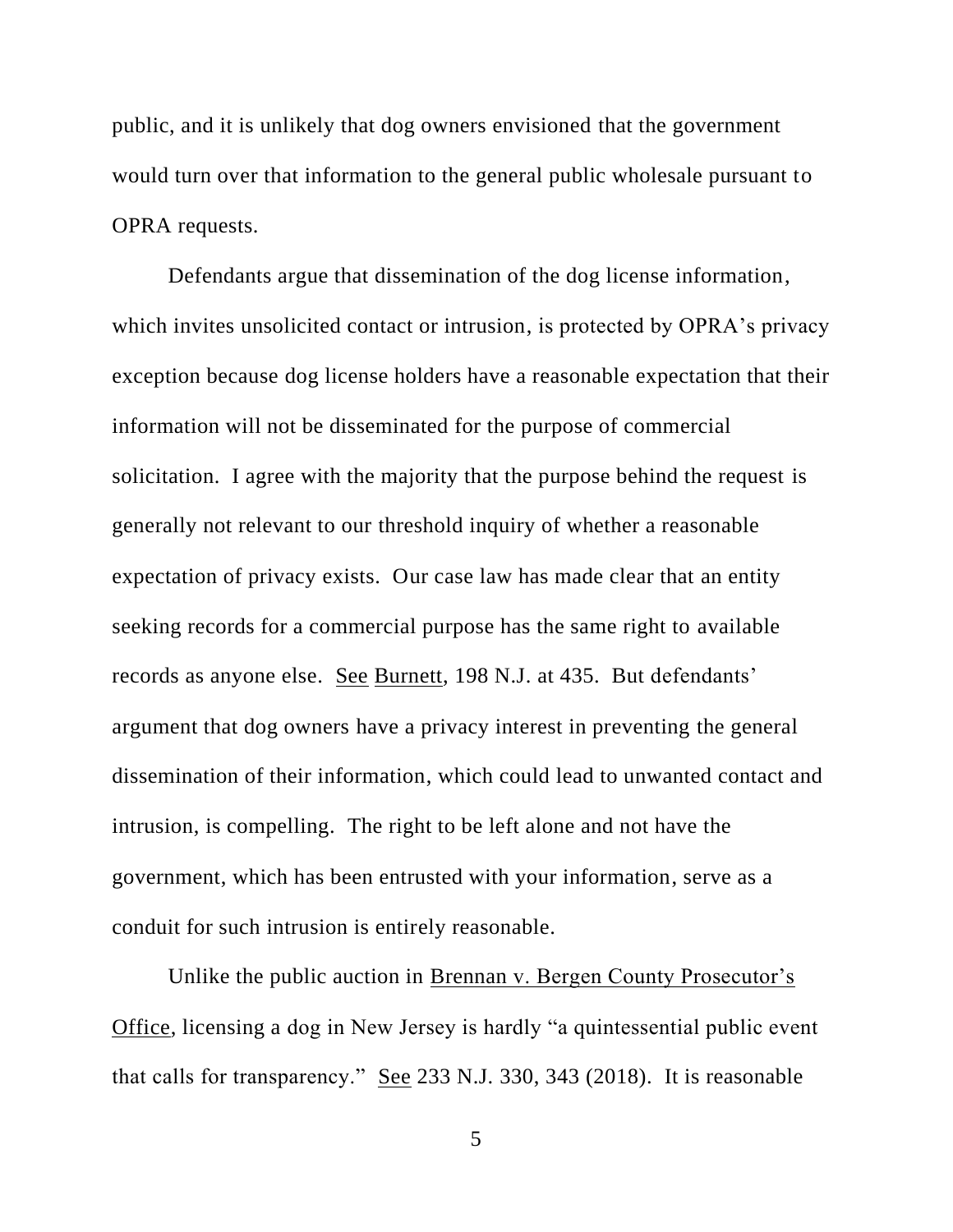public, and it is unlikely that dog owners envisioned that the government would turn over that information to the general public wholesale pursuant to OPRA requests.

Defendants argue that dissemination of the dog license information, which invites unsolicited contact or intrusion, is protected by OPRA's privacy exception because dog license holders have a reasonable expectation that their information will not be disseminated for the purpose of commercial solicitation. I agree with the majority that the purpose behind the request is generally not relevant to our threshold inquiry of whether a reasonable expectation of privacy exists. Our case law has made clear that an entity seeking records for a commercial purpose has the same right to available records as anyone else. See Burnett, 198 N.J. at 435. But defendants' argument that dog owners have a privacy interest in preventing the general dissemination of their information, which could lead to unwanted contact and intrusion, is compelling. The right to be left alone and not have the government, which has been entrusted with your information, serve as a conduit for such intrusion is entirely reasonable.

Unlike the public auction in Brennan v. Bergen County Prosecutor's Office, licensing a dog in New Jersey is hardly "a quintessential public event that calls for transparency." See 233 N.J. 330, 343 (2018). It is reasonable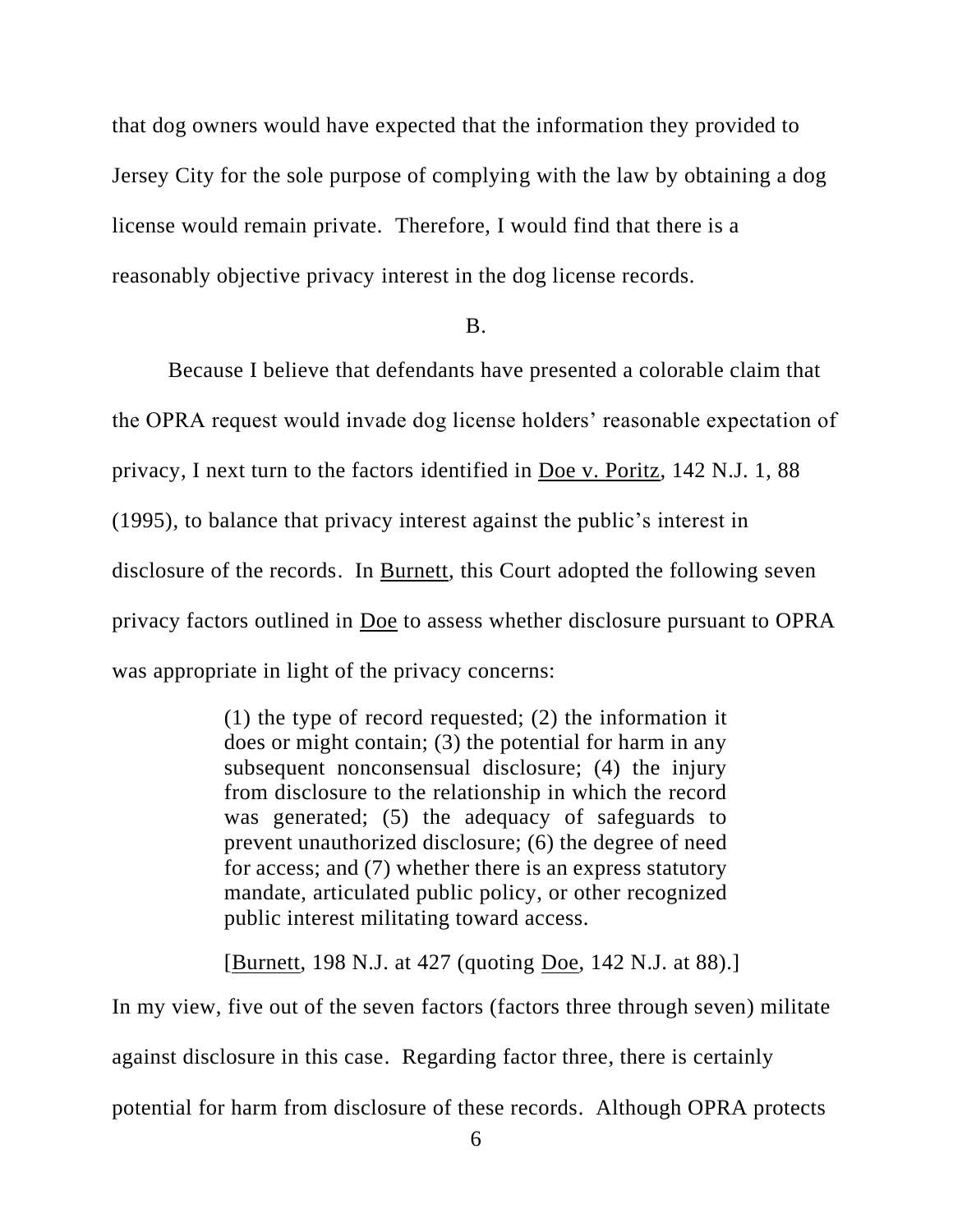that dog owners would have expected that the information they provided to Jersey City for the sole purpose of complying with the law by obtaining a dog license would remain private. Therefore, I would find that there is a reasonably objective privacy interest in the dog license records.

#### B.

Because I believe that defendants have presented a colorable claim that the OPRA request would invade dog license holders' reasonable expectation of privacy, I next turn to the factors identified in Doe v. Poritz, 142 N.J. 1, 88 (1995), to balance that privacy interest against the public's interest in disclosure of the records. In Burnett, this Court adopted the following seven privacy factors outlined in Doe to assess whether disclosure pursuant to OPRA was appropriate in light of the privacy concerns:

> (1) the type of record requested; (2) the information it does or might contain; (3) the potential for harm in any subsequent nonconsensual disclosure; (4) the injury from disclosure to the relationship in which the record was generated; (5) the adequacy of safeguards to prevent unauthorized disclosure; (6) the degree of need for access; and (7) whether there is an express statutory mandate, articulated public policy, or other recognized public interest militating toward access.

[Burnett, 198 N.J. at 427 (quoting Doe, 142 N.J. at 88).]

In my view, five out of the seven factors (factors three through seven) militate against disclosure in this case. Regarding factor three, there is certainly potential for harm from disclosure of these records. Although OPRA protects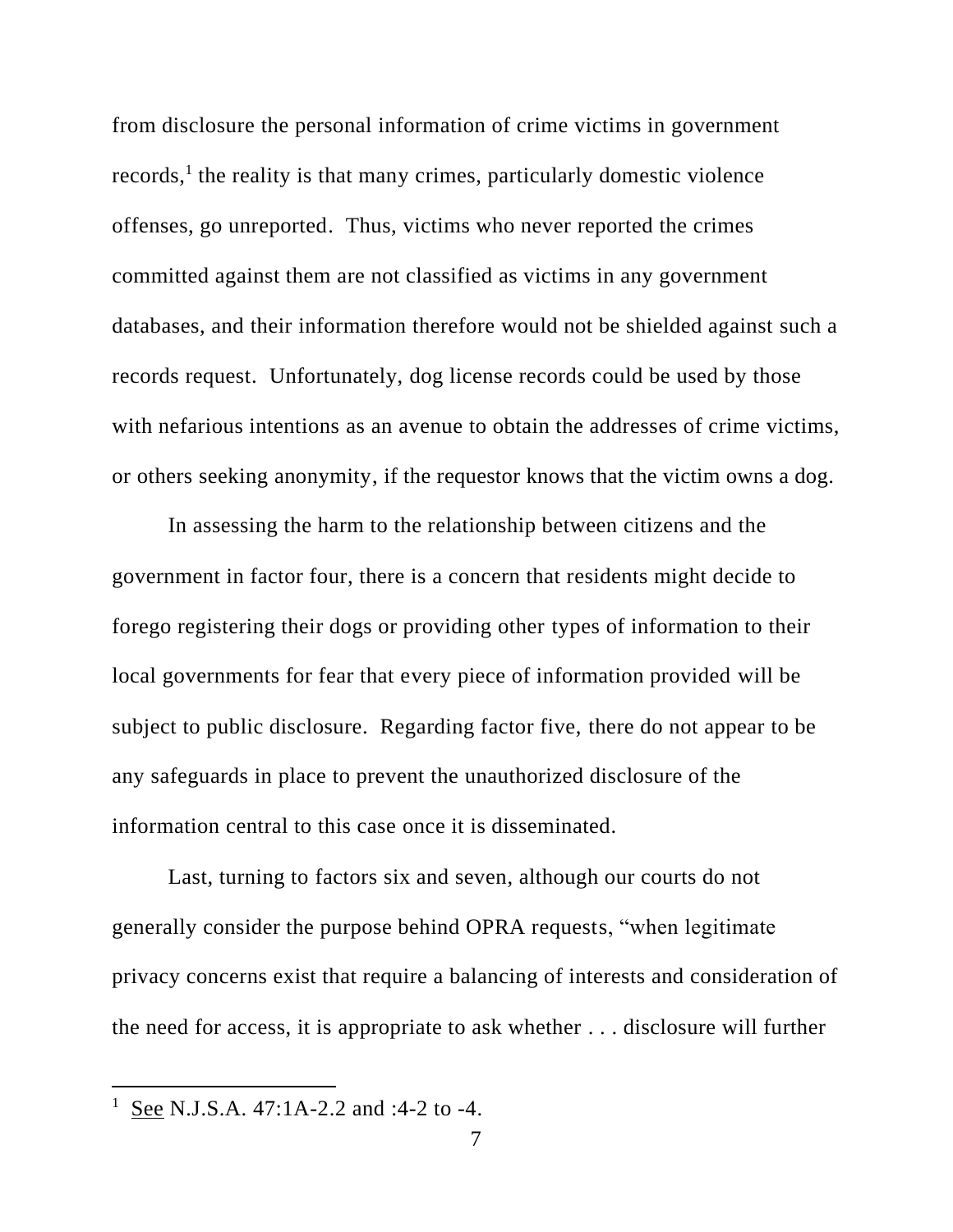from disclosure the personal information of crime victims in government records,<sup>1</sup> the reality is that many crimes, particularly domestic violence offenses, go unreported. Thus, victims who never reported the crimes committed against them are not classified as victims in any government databases, and their information therefore would not be shielded against such a records request. Unfortunately, dog license records could be used by those with nefarious intentions as an avenue to obtain the addresses of crime victims, or others seeking anonymity, if the requestor knows that the victim owns a dog.

In assessing the harm to the relationship between citizens and the government in factor four, there is a concern that residents might decide to forego registering their dogs or providing other types of information to their local governments for fear that every piece of information provided will be subject to public disclosure. Regarding factor five, there do not appear to be any safeguards in place to prevent the unauthorized disclosure of the information central to this case once it is disseminated.

Last, turning to factors six and seven, although our courts do not generally consider the purpose behind OPRA requests, "when legitimate privacy concerns exist that require a balancing of interests and consideration of the need for access, it is appropriate to ask whether . . . disclosure will further

<sup>&</sup>lt;sup>1</sup> See N.J.S.A. 47:1A-2.2 and :4-2 to -4.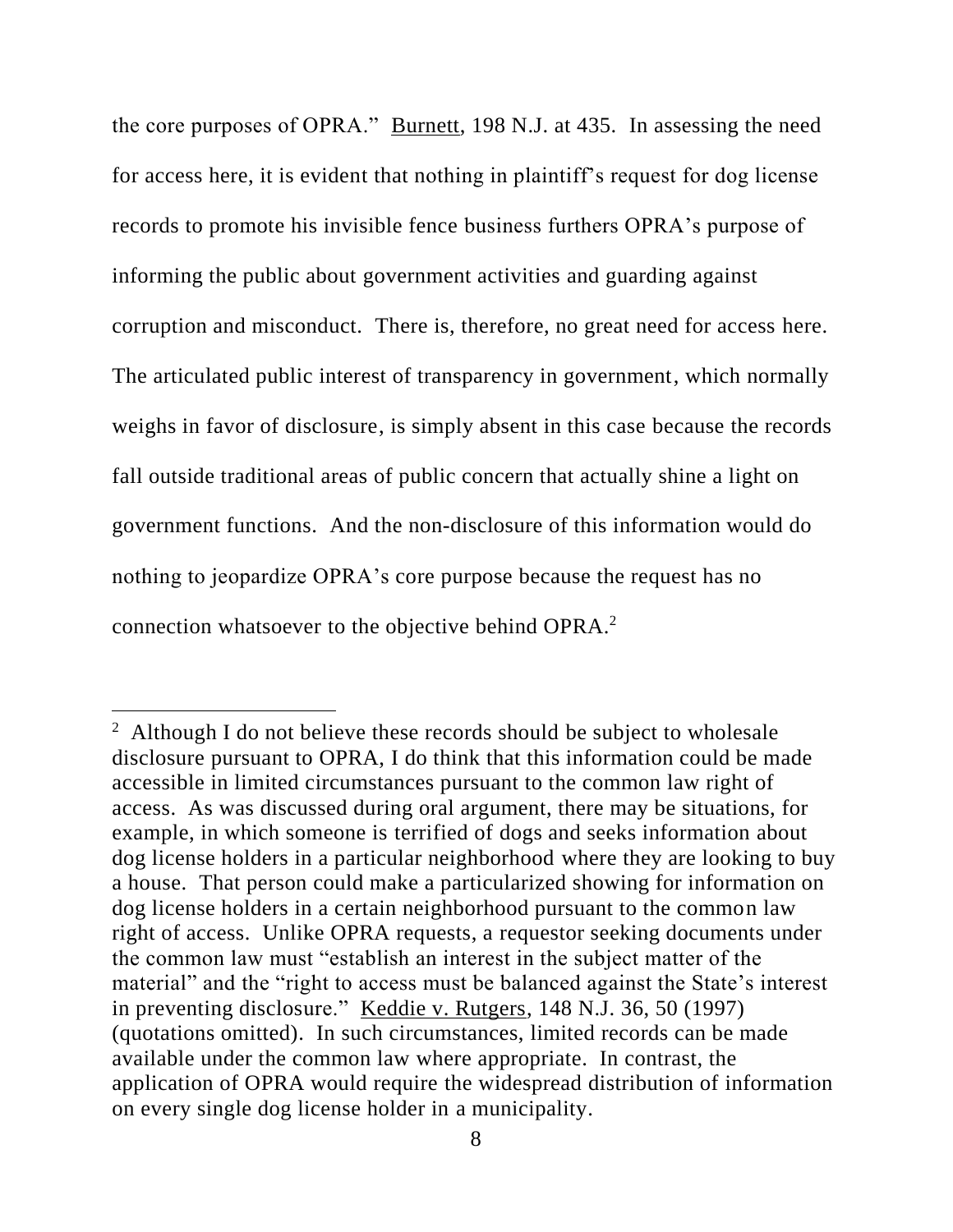the core purposes of OPRA." Burnett, 198 N.J. at 435. In assessing the need for access here, it is evident that nothing in plaintiff's request for dog license records to promote his invisible fence business furthers OPRA's purpose of informing the public about government activities and guarding against corruption and misconduct. There is, therefore, no great need for access here. The articulated public interest of transparency in government, which normally weighs in favor of disclosure, is simply absent in this case because the records fall outside traditional areas of public concern that actually shine a light on government functions. And the non-disclosure of this information would do nothing to jeopardize OPRA's core purpose because the request has no connection whatsoever to the objective behind OPRA.<sup>2</sup>

<sup>&</sup>lt;sup>2</sup> Although I do not believe these records should be subject to wholesale disclosure pursuant to OPRA, I do think that this information could be made accessible in limited circumstances pursuant to the common law right of access. As was discussed during oral argument, there may be situations, for example, in which someone is terrified of dogs and seeks information about dog license holders in a particular neighborhood where they are looking to buy a house. That person could make a particularized showing for information on dog license holders in a certain neighborhood pursuant to the common law right of access. Unlike OPRA requests, a requestor seeking documents under the common law must "establish an interest in the subject matter of the material" and the "right to access must be balanced against the State's interest in preventing disclosure." Keddie v. Rutgers, 148 N.J. 36, 50 (1997) (quotations omitted). In such circumstances, limited records can be made available under the common law where appropriate. In contrast, the application of OPRA would require the widespread distribution of information on every single dog license holder in a municipality.